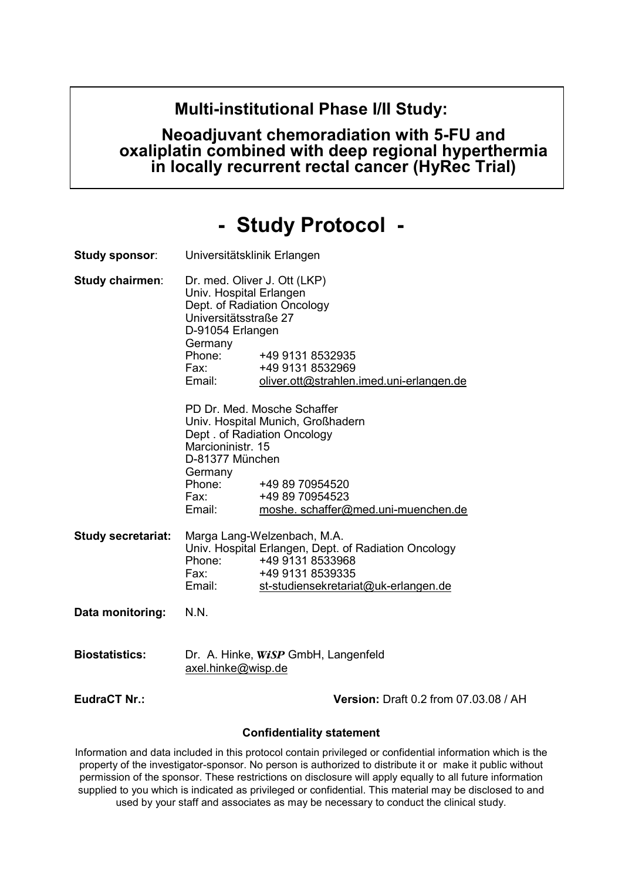# **Multi-institutional Phase I/II Study:**

**Neoadjuvant chemoradiation with 5-FU and oxaliplatin combined with deep regional hyperthermia in locally recurrent rectal cancer (HyRec Trial)** 

# **- Study Protocol -**

| <b>Study sponsor:</b>     | Universitätsklinik Erlangen                                                                           |                                                                                                                                                                     |
|---------------------------|-------------------------------------------------------------------------------------------------------|---------------------------------------------------------------------------------------------------------------------------------------------------------------------|
| Study chairmen:           | Univ. Hospital Erlangen<br>Universitätsstraße 27<br>D-91054 Erlangen<br>Germany<br>Fax: Fax<br>Email: | Dr. med. Oliver J. Ott (LKP)<br>Dept. of Radiation Oncology<br>Phone: +49 9131 8532935<br>+49 9131 8532969<br>oliver.ott@strahlen.imed.uni-erlangen.de              |
|                           | Marcioninistr. 15<br>D-81377 München<br>Germany<br>Phone:<br>Fax:                                     | PD Dr. Med. Mosche Schaffer<br>Univ. Hospital Munich, Großhadern<br>Dept. of Radiation Oncology<br>+49 89 70954520<br>+49 89 70954523                               |
|                           | Email:                                                                                                | moshe. schaffer@med.uni-muenchen.de                                                                                                                                 |
| <b>Study secretariat:</b> | Phone:<br>Fax:<br>Email:                                                                              | Marga Lang-Welzenbach, M.A.<br>Univ. Hospital Erlangen, Dept. of Radiation Oncology<br>+49 9131 8533968<br>+49 9131 8539335<br>st-studiensekretariat@uk-erlangen.de |
| Data monitoring:          | N.N.                                                                                                  |                                                                                                                                                                     |
| <b>Biostatistics:</b>     | axel.hinke@wisp.de                                                                                    | Dr. A. Hinke, Wisp GmbH, Langenfeld                                                                                                                                 |
| <b>EudraCT Nr.:</b>       |                                                                                                       | <b>Version: Draft 0.2 from 07.03.08 / AH</b>                                                                                                                        |
|                           |                                                                                                       | <b>Confidentiality statement</b>                                                                                                                                    |

Information and data included in this protocol contain privileged or confidential information which is the property of the investigator-sponsor. No person is authorized to distribute it or make it public without permission of the sponsor. These restrictions on disclosure will apply equally to all future information supplied to you which is indicated as privileged or confidential. This material may be disclosed to and used by your staff and associates as may be necessary to conduct the clinical study.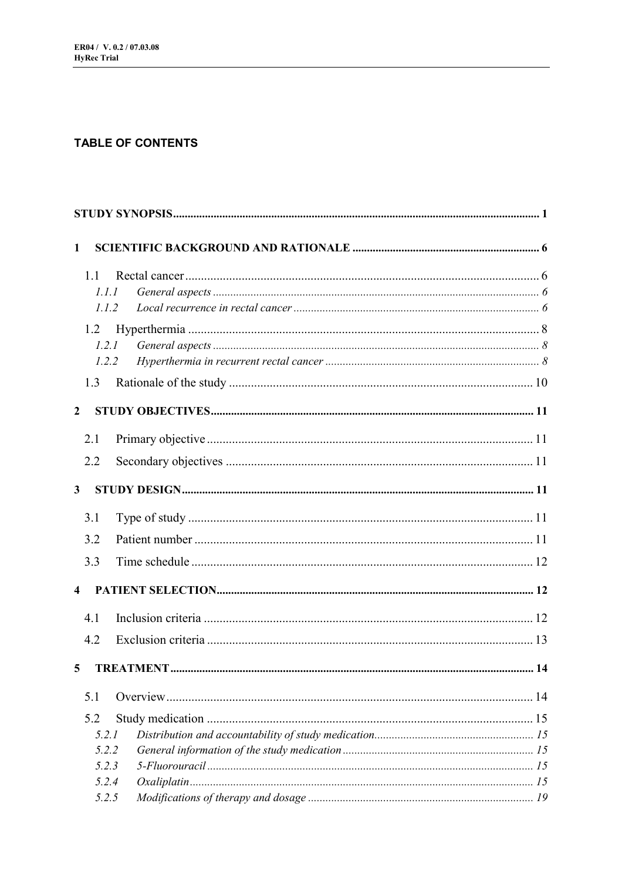# **TABLE OF CONTENTS**

| $\mathbf{1}$            |       |  |
|-------------------------|-------|--|
|                         | 1.1   |  |
|                         | 1.1.1 |  |
|                         | 1.1.2 |  |
|                         | 1.2   |  |
|                         | 1.2.1 |  |
|                         | 1.2.2 |  |
|                         | 1.3   |  |
| $\overline{2}$          |       |  |
|                         | 2.1   |  |
|                         | 2.2   |  |
| $\mathbf{3}$            |       |  |
|                         | 3.1   |  |
|                         | 3.2   |  |
|                         | 3.3   |  |
| $\overline{\mathbf{4}}$ |       |  |
|                         | 4.1   |  |
|                         | 4.2   |  |
| 5 <sup>1</sup>          |       |  |
|                         | 5.1   |  |
|                         | 5.2   |  |
|                         | 5.2.1 |  |
|                         | 5.2.2 |  |
|                         | 5.2.3 |  |
|                         | 5.2.4 |  |
|                         | 5.2.5 |  |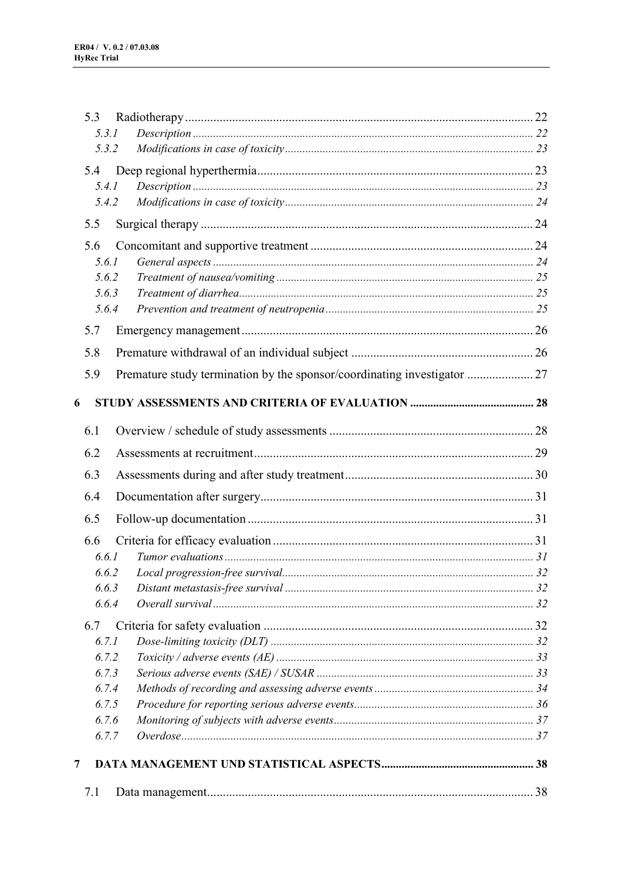| 5.3 |                |  |
|-----|----------------|--|
|     | 5.3.1<br>5.3.2 |  |
|     |                |  |
| 5.4 | 5.4.1          |  |
|     | 5.4.2          |  |
| 5.5 |                |  |
|     |                |  |
| 5.6 |                |  |
|     | 5.6.1<br>5.6.2 |  |
|     | 5.6.3          |  |
|     | 5.6.4          |  |
| 5.7 |                |  |
| 5.8 |                |  |
|     |                |  |
| 5.9 |                |  |
| 6   |                |  |
| 6.1 |                |  |
| 6.2 |                |  |
| 6.3 |                |  |
| 6.4 |                |  |
| 6.5 |                |  |
| 6.6 |                |  |
|     | 6.6.1          |  |
|     |                |  |
|     | 6.6.3          |  |
|     | 6.6.4          |  |
| 6.7 |                |  |
|     | 6.7.1          |  |
|     | 6.7.2<br>6.7.3 |  |
|     | 6.7.4          |  |
|     | 6.7.5          |  |
|     | 6.7.6          |  |
|     | 6.7.7          |  |
| 7   |                |  |
|     |                |  |
| 7.1 |                |  |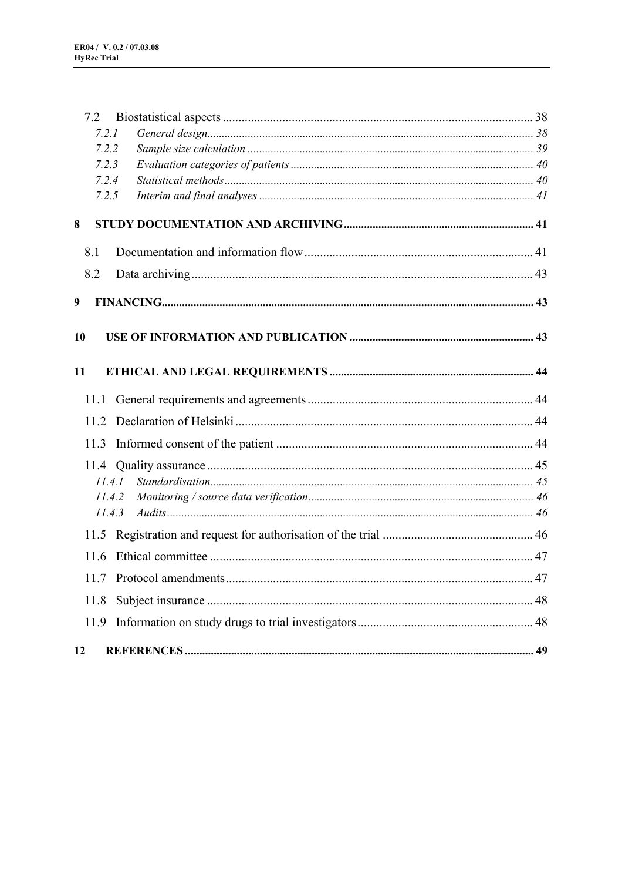| 7.2    |  |
|--------|--|
| 7.2.1  |  |
| 7.2.2  |  |
| 7.2.3  |  |
| 7.2.4  |  |
| 7.2.5  |  |
| 8      |  |
| 8.1    |  |
| 8.2    |  |
| 9      |  |
| 10     |  |
| 11     |  |
| 11.1   |  |
| 11.2   |  |
| 11.3   |  |
|        |  |
| 11.4.1 |  |
| 11.4.2 |  |
| 11.4.3 |  |
|        |  |
|        |  |
| 11.6   |  |
|        |  |
| 11.8   |  |
| 11.9   |  |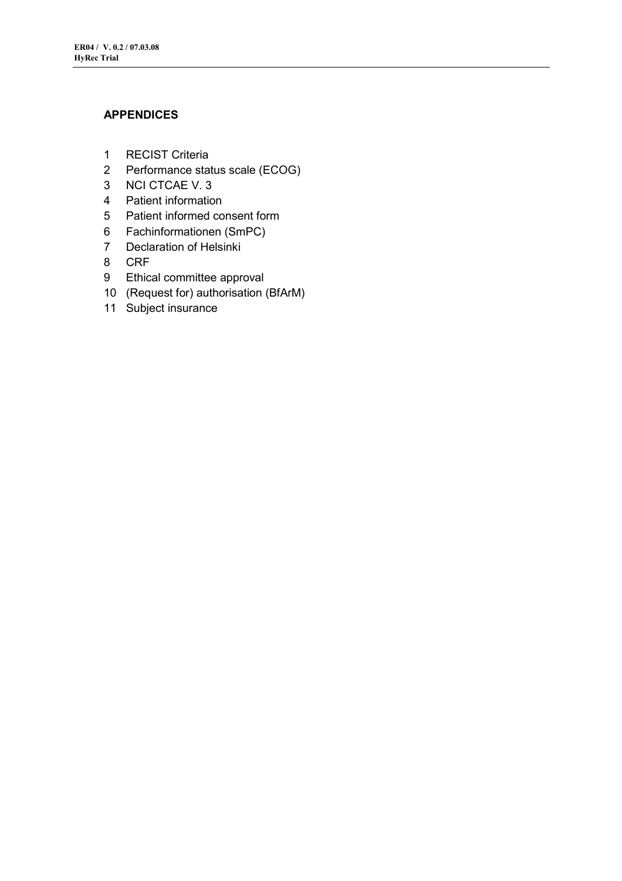## **APPENDICES**

- 1 RECIST Criteria
- 2 Performance status scale (ECOG)
- 3 NCI CTCAE V. 3
- 4 Patient information
- 5 Patient informed consent form
- 6 Fachinformationen (SmPC)
- 7 Declaration of Helsinki
- 8 CRF
- 9 Ethical committee approval
- 10 (Request for) authorisation (BfArM)
- 11 Subject insurance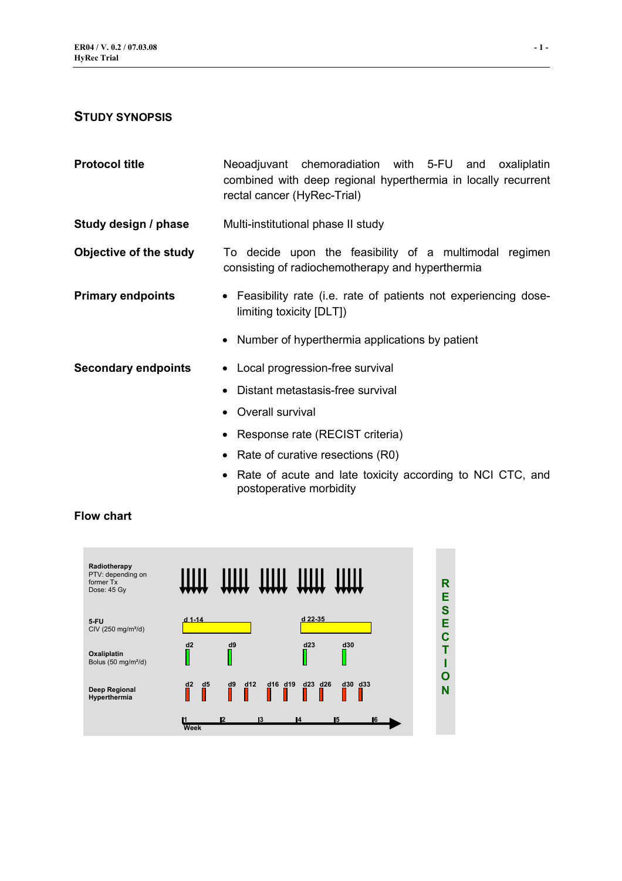# **STUDY SYNOPSIS**

| <b>Protocol title</b>      | Neoadjuvant chemoradiation with 5-FU and oxaliplatin<br>combined with deep regional hyperthermia in locally recurrent<br>rectal cancer (HyRec-Trial) |  |  |  |
|----------------------------|------------------------------------------------------------------------------------------------------------------------------------------------------|--|--|--|
| Study design / phase       | Multi-institutional phase II study                                                                                                                   |  |  |  |
| Objective of the study     | To decide upon the feasibility of a multimodal regimen<br>consisting of radiochemotherapy and hyperthermia                                           |  |  |  |
| <b>Primary endpoints</b>   | • Feasibility rate (i.e. rate of patients not experiencing dose-<br>limiting toxicity [DLT])                                                         |  |  |  |
|                            | • Number of hyperthermia applications by patient                                                                                                     |  |  |  |
| <b>Secondary endpoints</b> | • Local progression-free survival                                                                                                                    |  |  |  |
|                            | Distant metastasis-free survival                                                                                                                     |  |  |  |
|                            | • Overall survival                                                                                                                                   |  |  |  |
|                            | • Response rate (RECIST criteria)                                                                                                                    |  |  |  |
|                            | • Rate of curative resections (R0)                                                                                                                   |  |  |  |
|                            | Rate of acute and late toxicity according to NCI CTC, and<br>$\bullet$<br>postoperative morbidity                                                    |  |  |  |

#### **Flow chart**

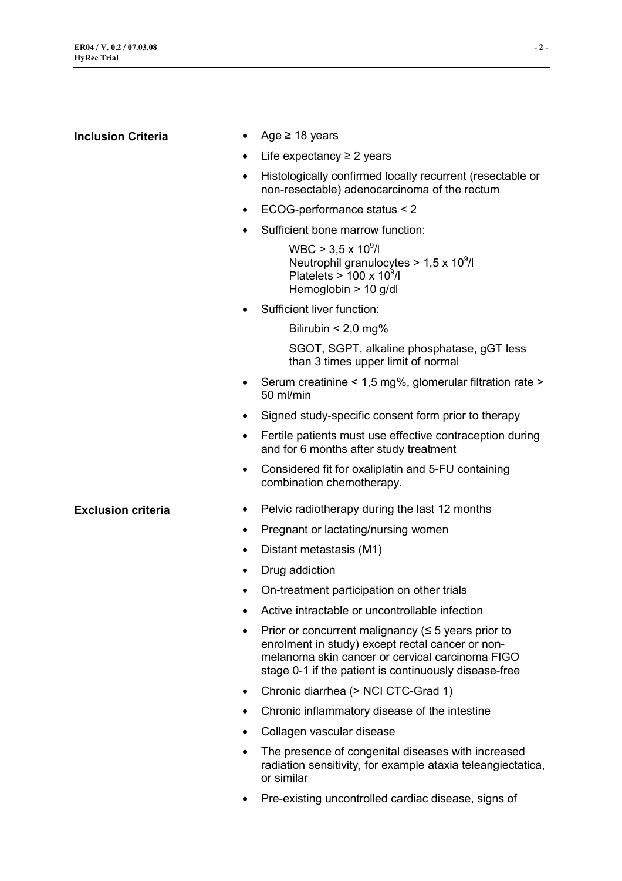| <b>Inclusion Criteria</b>      | Age $\geq$ 18 years                                                                                                                                                                                                      |
|--------------------------------|--------------------------------------------------------------------------------------------------------------------------------------------------------------------------------------------------------------------------|
|                                | Life expectancy $\geq$ 2 years                                                                                                                                                                                           |
|                                | Histologically confirmed locally recurrent (resectable or<br>non-resectable) adenocarcinoma of the rectum                                                                                                                |
| ٠                              | ECOG-performance status < 2                                                                                                                                                                                              |
|                                | Sufficient bone marrow function:                                                                                                                                                                                         |
|                                | $WBC > 3.5 \times 10^9$ /l<br>Neutrophil granulocytes $> 1.5 \times 10^9$ /I<br>Platelets > $100 \times 10^9$ /I<br>Hemoglobin > 10 g/dl                                                                                 |
| $\bullet$                      | Sufficient liver function:                                                                                                                                                                                               |
|                                | Bilirubin $< 2.0$ mg%                                                                                                                                                                                                    |
|                                | SGOT, SGPT, alkaline phosphatase, gGT less<br>than 3 times upper limit of normal                                                                                                                                         |
|                                | Serum creatinine < 1,5 mg%, glomerular filtration rate ><br>50 ml/min                                                                                                                                                    |
| ٠                              | Signed study-specific consent form prior to therapy                                                                                                                                                                      |
|                                | Fertile patients must use effective contraception during<br>and for 6 months after study treatment                                                                                                                       |
| $\bullet$                      | Considered fit for oxaliplatin and 5-FU containing<br>combination chemotherapy.                                                                                                                                          |
| <b>Exclusion criteria</b><br>٠ | Pelvic radiotherapy during the last 12 months                                                                                                                                                                            |
| ٠                              | Pregnant or lactating/nursing women                                                                                                                                                                                      |
|                                | Distant metastasis (M1)                                                                                                                                                                                                  |
|                                | Drug addiction                                                                                                                                                                                                           |
|                                | On-treatment participation on other trials                                                                                                                                                                               |
|                                | Active intractable or uncontrollable infection                                                                                                                                                                           |
|                                | Prior or concurrent malignancy ( $\leq$ 5 years prior to<br>enrolment in study) except rectal cancer or non-<br>melanoma skin cancer or cervical carcinoma FIGO<br>stage 0-1 if the patient is continuously disease-free |
|                                | Chronic diarrhea (> NCI CTC-Grad 1)                                                                                                                                                                                      |

- Chronic inflammatory disease of the intestine
- Collagen vascular disease
- The presence of congenital diseases with increased radiation sensitivity, for example ataxia teleangiectatica, or similar
- Pre-existing uncontrolled cardiac disease, signs of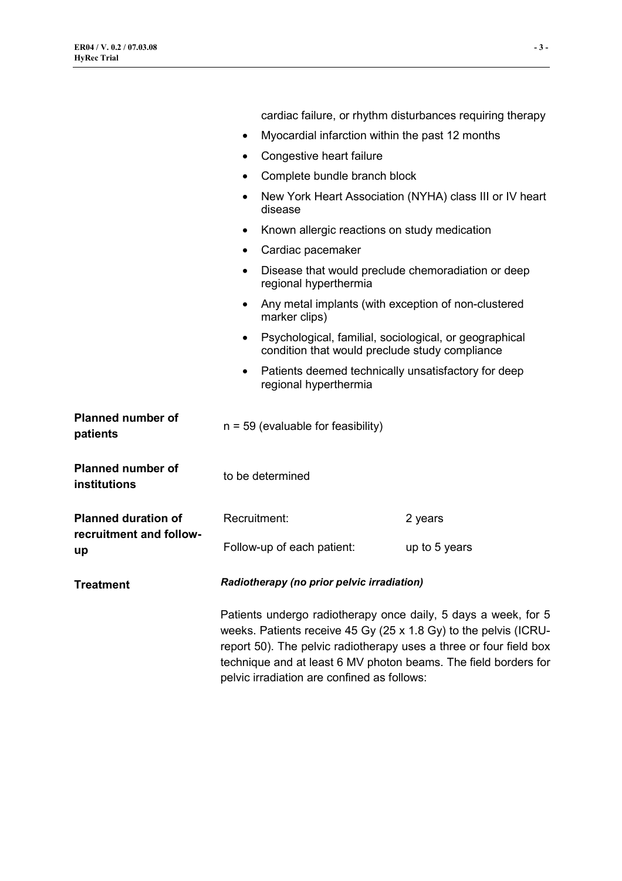|                                          |                                             | cardiac failure, or rhythm disturbances requiring therapy                                                                                                                                                                                                                   |
|------------------------------------------|---------------------------------------------|-----------------------------------------------------------------------------------------------------------------------------------------------------------------------------------------------------------------------------------------------------------------------------|
|                                          | ٠                                           | Myocardial infarction within the past 12 months                                                                                                                                                                                                                             |
|                                          | Congestive heart failure<br>٠               |                                                                                                                                                                                                                                                                             |
|                                          | Complete bundle branch block<br>$\bullet$   |                                                                                                                                                                                                                                                                             |
|                                          | $\bullet$<br>disease                        | New York Heart Association (NYHA) class III or IV heart                                                                                                                                                                                                                     |
|                                          | ٠                                           | Known allergic reactions on study medication                                                                                                                                                                                                                                |
|                                          | Cardiac pacemaker<br>$\bullet$              |                                                                                                                                                                                                                                                                             |
|                                          | $\bullet$<br>regional hyperthermia          | Disease that would preclude chemoradiation or deep                                                                                                                                                                                                                          |
|                                          | ٠<br>marker clips)                          | Any metal implants (with exception of non-clustered                                                                                                                                                                                                                         |
|                                          | ٠                                           | Psychological, familial, sociological, or geographical<br>condition that would preclude study compliance                                                                                                                                                                    |
|                                          | $\bullet$<br>regional hyperthermia          | Patients deemed technically unsatisfactory for deep                                                                                                                                                                                                                         |
| <b>Planned number of</b><br>patients     | $n = 59$ (evaluable for feasibility)        |                                                                                                                                                                                                                                                                             |
| <b>Planned number of</b><br>institutions | to be determined                            |                                                                                                                                                                                                                                                                             |
| <b>Planned duration of</b>               | Recruitment:                                | 2 years                                                                                                                                                                                                                                                                     |
| recruitment and follow-<br>up            | Follow-up of each patient:                  | up to 5 years                                                                                                                                                                                                                                                               |
| Treatment                                | Radiotherapy (no prior pelvic irradiation)  |                                                                                                                                                                                                                                                                             |
|                                          | pelvic irradiation are confined as follows: | Patients undergo radiotherapy once daily, 5 days a week, for 5<br>weeks. Patients receive 45 Gy (25 x 1.8 Gy) to the pelvis (ICRU-<br>report 50). The pelvic radiotherapy uses a three or four field box<br>technique and at least 6 MV photon beams. The field borders for |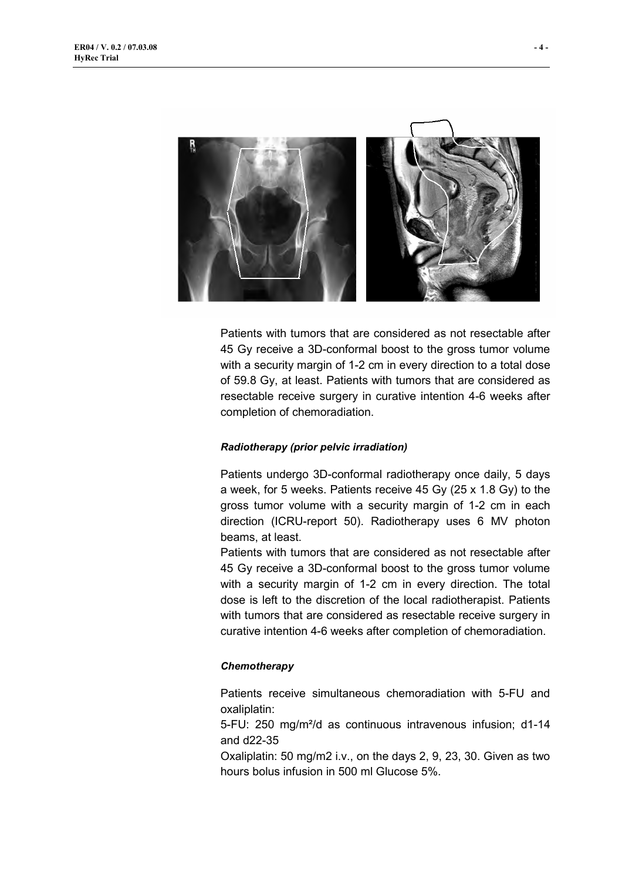

Patients with tumors that are considered as not resectable after 45 Gy receive a 3D-conformal boost to the gross tumor volume with a security margin of 1-2 cm in every direction to a total dose of 59.8 Gy, at least. Patients with tumors that are considered as resectable receive surgery in curative intention 4-6 weeks after completion of chemoradiation.

#### *Radiotherapy (prior pelvic irradiation)*

Patients undergo 3D-conformal radiotherapy once daily, 5 days a week, for 5 weeks. Patients receive 45 Gy (25 x 1.8 Gy) to the gross tumor volume with a security margin of 1-2 cm in each direction (ICRU-report 50). Radiotherapy uses 6 MV photon beams, at least.

Patients with tumors that are considered as not resectable after 45 Gy receive a 3D-conformal boost to the gross tumor volume with a security margin of 1-2 cm in every direction. The total dose is left to the discretion of the local radiotherapist. Patients with tumors that are considered as resectable receive surgery in curative intention 4-6 weeks after completion of chemoradiation.

#### *Chemotherapy*

Patients receive simultaneous chemoradiation with 5-FU and oxaliplatin:

5-FU: 250 mg/m²/d as continuous intravenous infusion; d1-14 and d22-35

Oxaliplatin: 50 mg/m2 i.v., on the days 2, 9, 23, 30. Given as two hours bolus infusion in 500 ml Glucose 5%.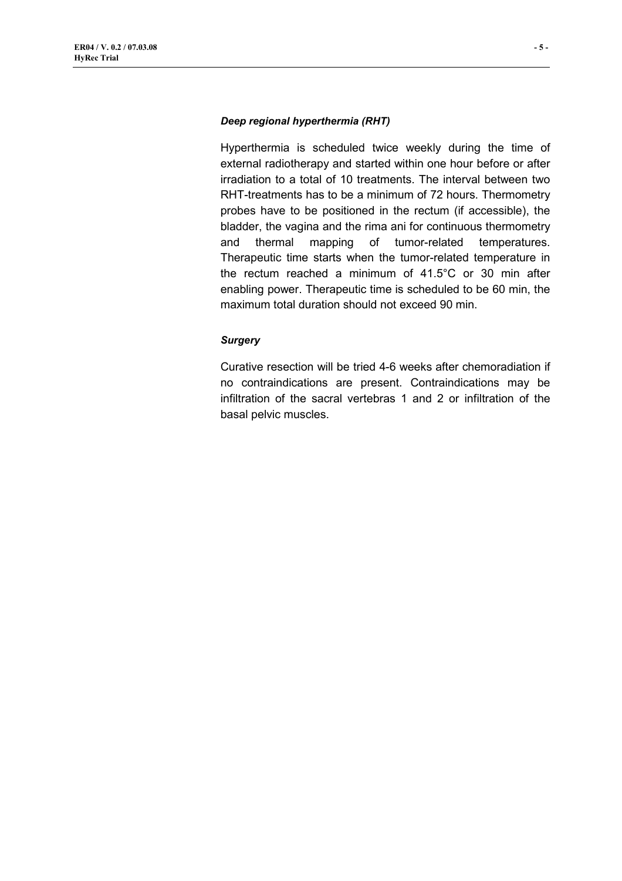#### *Deep regional hyperthermia (RHT)*

Hyperthermia is scheduled twice weekly during the time of external radiotherapy and started within one hour before or after irradiation to a total of 10 treatments. The interval between two RHT-treatments has to be a minimum of 72 hours. Thermometry probes have to be positioned in the rectum (if accessible), the bladder, the vagina and the rima ani for continuous thermometry and thermal mapping of tumor-related temperatures. Therapeutic time starts when the tumor-related temperature in the rectum reached a minimum of 41.5°C or 30 min after enabling power. Therapeutic time is scheduled to be 60 min, the maximum total duration should not exceed 90 min.

#### *Surgery*

Curative resection will be tried 4-6 weeks after chemoradiation if no contraindications are present. Contraindications may be infiltration of the sacral vertebras 1 and 2 or infiltration of the basal pelvic muscles.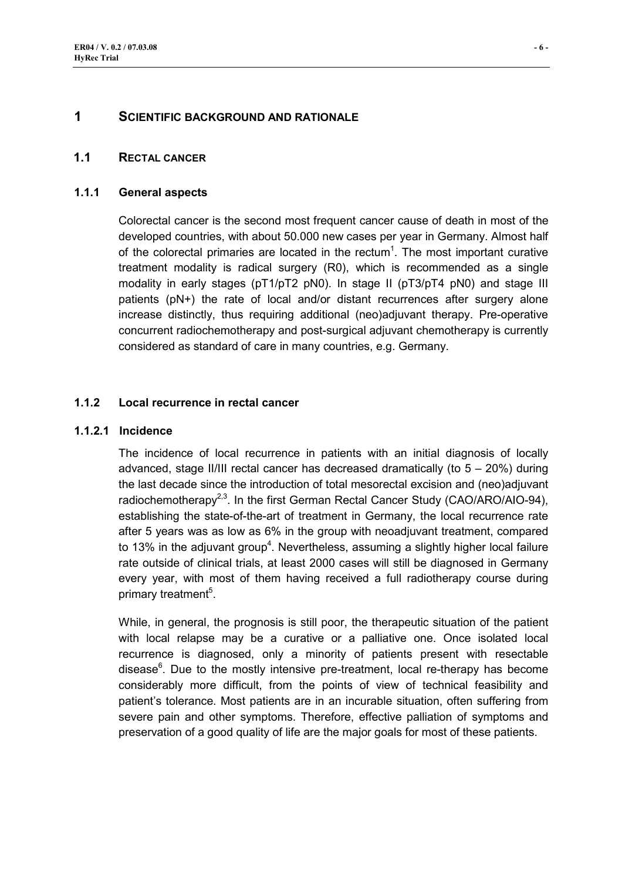## **1 SCIENTIFIC BACKGROUND AND RATIONALE**

#### **1.1 RECTAL CANCER**

#### **1.1.1 General aspects**

Colorectal cancer is the second most frequent cancer cause of death in most of the developed countries, with about 50.000 new cases per year in Germany. Almost half of the colorectal primaries are located in the rectum<sup>1</sup>. The most important curative treatment modality is radical surgery (R0), which is recommended as a single modality in early stages (pT1/pT2 pN0). In stage II (pT3/pT4 pN0) and stage III patients (pN+) the rate of local and/or distant recurrences after surgery alone increase distinctly, thus requiring additional (neo)adjuvant therapy. Pre-operative concurrent radiochemotherapy and post-surgical adjuvant chemotherapy is currently considered as standard of care in many countries, e.g. Germany.

## **1.1.2 Local recurrence in rectal cancer**

#### **1.1.2.1 Incidence**

The incidence of local recurrence in patients with an initial diagnosis of locally advanced, stage II/III rectal cancer has decreased dramatically (to  $5 - 20\%$ ) during the last decade since the introduction of total mesorectal excision and (neo)adjuvant radiochemotherapy<sup>2,3</sup>. In the first German Rectal Cancer Study (CAO/ARO/AIO-94), establishing the state-of-the-art of treatment in Germany, the local recurrence rate after 5 years was as low as 6% in the group with neoadjuvant treatment, compared to 13% in the adjuvant group<sup>4</sup>. Nevertheless, assuming a slightly higher local failure rate outside of clinical trials, at least 2000 cases will still be diagnosed in Germany every year, with most of them having received a full radiotherapy course during primary treatment<sup>5</sup>.

While, in general, the prognosis is still poor, the therapeutic situation of the patient with local relapse may be a curative or a palliative one. Once isolated local recurrence is diagnosed, only a minority of patients present with resectable disease<sup>6</sup>. Due to the mostly intensive pre-treatment, local re-therapy has become considerably more difficult, from the points of view of technical feasibility and patient's tolerance. Most patients are in an incurable situation, often suffering from severe pain and other symptoms. Therefore, effective palliation of symptoms and preservation of a good quality of life are the major goals for most of these patients.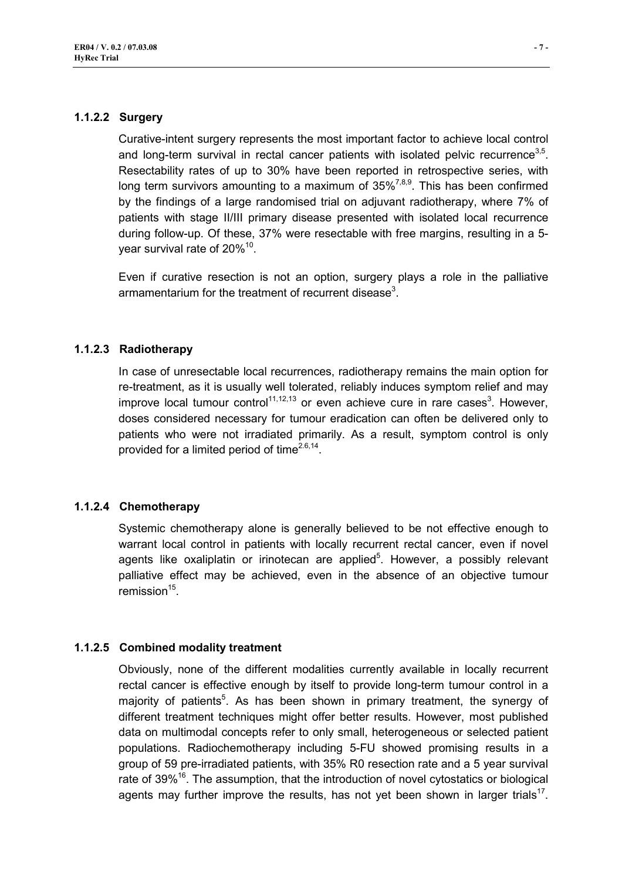## **1.1.2.2 Surgery**

Curative-intent surgery represents the most important factor to achieve local control and long-term survival in rectal cancer patients with isolated pelvic recurrence<sup>3,5</sup>. Resectability rates of up to 30% have been reported in retrospective series, with long term survivors amounting to a maximum of  $35\%^{7,8,9}$ . This has been confirmed by the findings of a large randomised trial on adjuvant radiotherapy, where 7% of patients with stage II/III primary disease presented with isolated local recurrence during follow-up. Of these, 37% were resectable with free margins, resulting in a 5 year survival rate of 20%10.

Even if curative resection is not an option, surgery plays a role in the palliative armamentarium for the treatment of recurrent disease<sup>3</sup>.

## **1.1.2.3 Radiotherapy**

In case of unresectable local recurrences, radiotherapy remains the main option for re-treatment, as it is usually well tolerated, reliably induces symptom relief and may improve local tumour control<sup>11,12,13</sup> or even achieve cure in rare cases<sup>3</sup>. However, doses considered necessary for tumour eradication can often be delivered only to patients who were not irradiated primarily. As a result, symptom control is only provided for a limited period of time $2.6,14$ .

# **1.1.2.4 Chemotherapy**

Systemic chemotherapy alone is generally believed to be not effective enough to warrant local control in patients with locally recurrent rectal cancer, even if novel agents like oxaliplatin or irinotecan are applied<sup>5</sup>. However, a possibly relevant palliative effect may be achieved, even in the absence of an objective tumour remission $15$ .

# **1.1.2.5 Combined modality treatment**

Obviously, none of the different modalities currently available in locally recurrent rectal cancer is effective enough by itself to provide long-term tumour control in a majority of patients<sup>5</sup>. As has been shown in primary treatment, the synergy of different treatment techniques might offer better results. However, most published data on multimodal concepts refer to only small, heterogeneous or selected patient populations. Radiochemotherapy including 5-FU showed promising results in a group of 59 pre-irradiated patients, with 35% R0 resection rate and a 5 year survival rate of 39%<sup>16</sup>. The assumption, that the introduction of novel cytostatics or biological agents may further improve the results, has not yet been shown in larger trials<sup>17</sup>.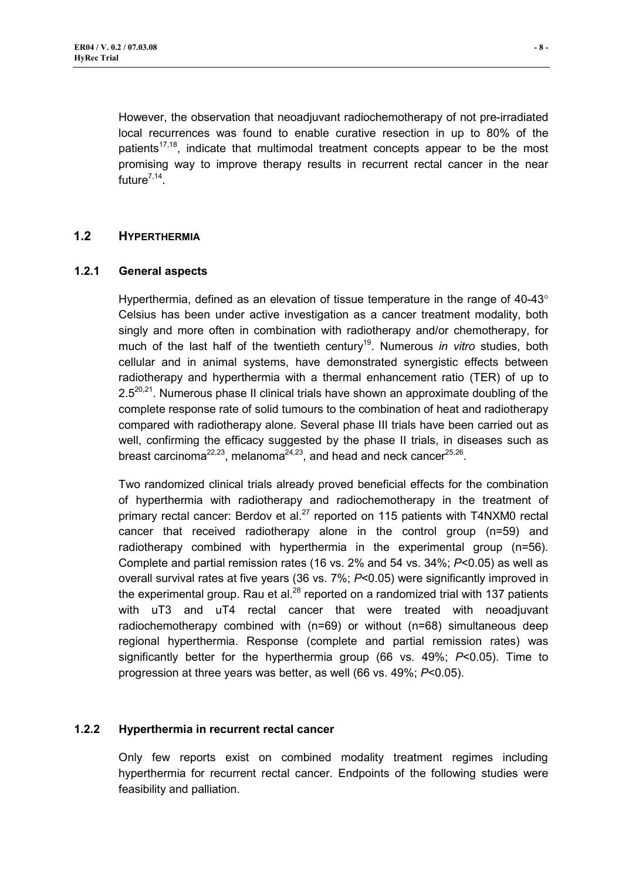However, the observation that neoadjuvant radiochemotherapy of not pre-irradiated local recurrences was found to enable curative resection in up to 80% of the patients<sup>17,18</sup>, indicate that multimodal treatment concepts appear to be the most promising way to improve therapy results in recurrent rectal cancer in the near future $^{7,14}$ .

#### **1.2 HYPERTHERMIA**

#### **1.2.1 General aspects**

Hyperthermia, defined as an elevation of tissue temperature in the range of 40-43 $^{\circ}$ Celsius has been under active investigation as a cancer treatment modality, both singly and more often in combination with radiotherapy and/or chemotherapy, for much of the last half of the twentieth century<sup>19</sup>. Numerous *in vitro* studies, both cellular and in animal systems, have demonstrated synergistic effects between radiotherapy and hyperthermia with a thermal enhancement ratio (TER) of up to  $2.5^{20,21}$ . Numerous phase II clinical trials have shown an approximate doubling of the complete response rate of solid tumours to the combination of heat and radiotherapy compared with radiotherapy alone. Several phase III trials have been carried out as well, confirming the efficacy suggested by the phase II trials, in diseases such as breast carcinoma<sup>22,23</sup>, melanoma<sup>24,23</sup>, and head and neck cancer<sup>25,26</sup>.

Two randomized clinical trials already proved beneficial effects for the combination of hyperthermia with radiotherapy and radiochemotherapy in the treatment of primary rectal cancer: Berdov et al. $^{27}$  reported on 115 patients with T4NXM0 rectal cancer that received radiotherapy alone in the control group (n=59) and radiotherapy combined with hyperthermia in the experimental group (n=56). Complete and partial remission rates (16 vs. 2% and 54 vs. 34%; *P*<0.05) as well as overall survival rates at five years (36 vs. 7%; *P*<0.05) were significantly improved in the experimental group. Rau et al. $^{28}$  reported on a randomized trial with 137 patients with uT3 and uT4 rectal cancer that were treated with neoadjuvant radiochemotherapy combined with (n=69) or without (n=68) simultaneous deep regional hyperthermia. Response (complete and partial remission rates) was significantly better for the hyperthermia group (66 vs. 49%; *P*<0.05). Time to progression at three years was better, as well (66 vs. 49%; *P*<0.05).

#### **1.2.2 Hyperthermia in recurrent rectal cancer**

Only few reports exist on combined modality treatment regimes including hyperthermia for recurrent rectal cancer. Endpoints of the following studies were feasibility and palliation.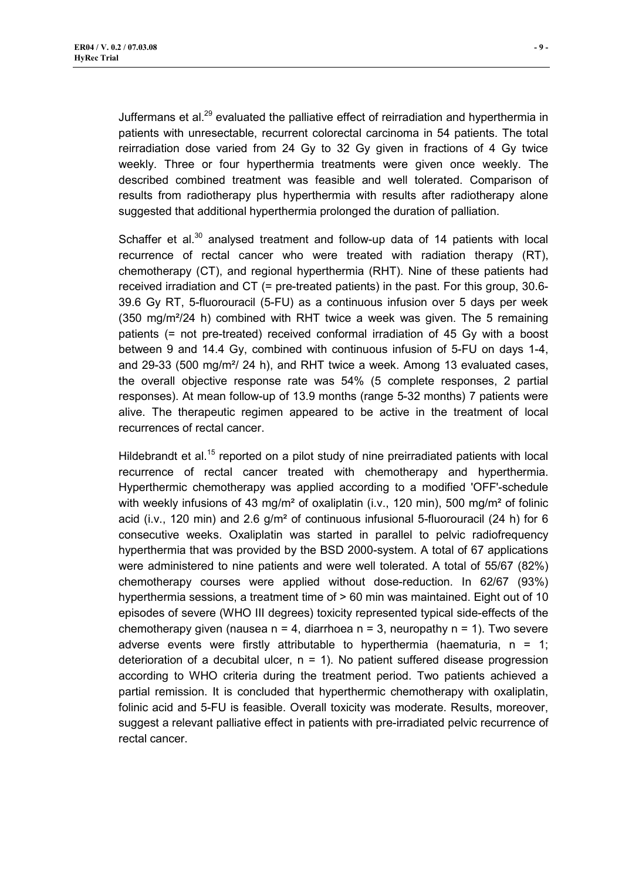reirradiation dose varied from 24 Gy to 32 Gy given in fractions of 4 Gy twice weekly. Three or four hyperthermia treatments were given once weekly. The described combined treatment was feasible and well tolerated. Comparison of results from radiotherapy plus hyperthermia with results after radiotherapy alone suggested that additional hyperthermia prolonged the duration of palliation.

Schaffer et al. $30$  analysed treatment and follow-up data of 14 patients with local recurrence of rectal cancer who were treated with radiation therapy (RT), chemotherapy (CT), and regional hyperthermia (RHT). Nine of these patients had received irradiation and CT (= pre-treated patients) in the past. For this group, 30.6- 39.6 Gy RT, 5-fluorouracil (5-FU) as a continuous infusion over 5 days per week  $(350 \text{ mg/m}^2/24 \text{ h})$  combined with RHT twice a week was given. The 5 remaining patients (= not pre-treated) received conformal irradiation of 45 Gy with a boost between 9 and 14.4 Gy, combined with continuous infusion of 5-FU on days 1-4, and 29-33 (500 mg/m²/ 24 h), and RHT twice a week. Among 13 evaluated cases, the overall objective response rate was 54% (5 complete responses, 2 partial responses). At mean follow-up of 13.9 months (range 5-32 months) 7 patients were alive. The therapeutic regimen appeared to be active in the treatment of local recurrences of rectal cancer.

Hildebrandt et al.<sup>15</sup> reported on a pilot study of nine preirradiated patients with local recurrence of rectal cancer treated with chemotherapy and hyperthermia. Hyperthermic chemotherapy was applied according to a modified 'OFF'-schedule with weekly infusions of 43 mg/m<sup>2</sup> of oxaliplatin (i.v., 120 min), 500 mg/m<sup>2</sup> of folinic acid (i.v., 120 min) and 2.6 g/m² of continuous infusional 5-fluorouracil (24 h) for 6 consecutive weeks. Oxaliplatin was started in parallel to pelvic radiofrequency hyperthermia that was provided by the BSD 2000-system. A total of 67 applications were administered to nine patients and were well tolerated. A total of 55/67 (82%) chemotherapy courses were applied without dose-reduction. In 62/67 (93%) hyperthermia sessions, a treatment time of > 60 min was maintained. Eight out of 10 episodes of severe (WHO III degrees) toxicity represented typical side-effects of the chemotherapy given (nausea  $n = 4$ , diarrhoea  $n = 3$ , neuropathy  $n = 1$ ). Two severe adverse events were firstly attributable to hyperthermia (haematuria,  $n = 1$ ; deterioration of a decubital ulcer,  $n = 1$ ). No patient suffered disease progression according to WHO criteria during the treatment period. Two patients achieved a partial remission. It is concluded that hyperthermic chemotherapy with oxaliplatin, folinic acid and 5-FU is feasible. Overall toxicity was moderate. Results, moreover, suggest a relevant palliative effect in patients with pre-irradiated pelvic recurrence of rectal cancer.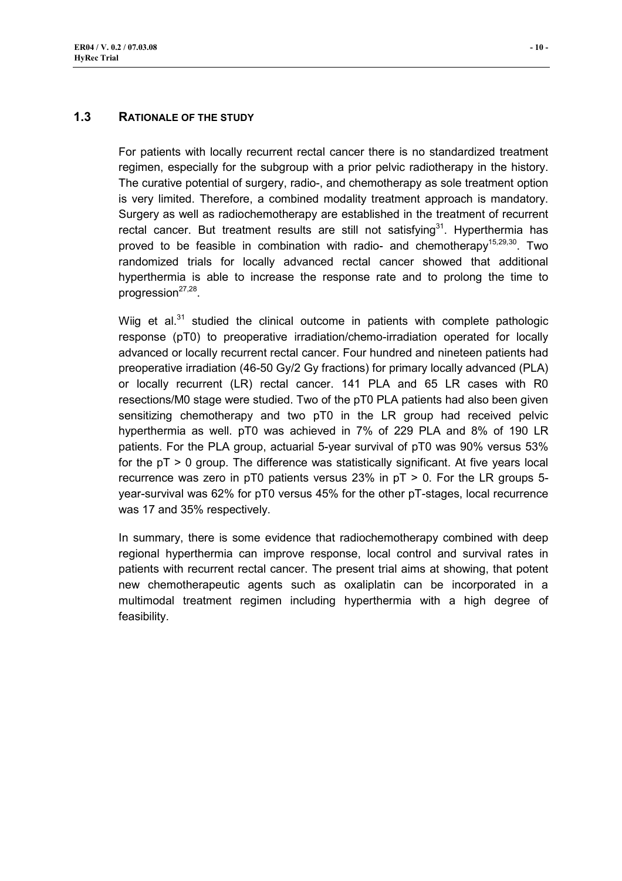#### **1.3 RATIONALE OF THE STUDY**

For patients with locally recurrent rectal cancer there is no standardized treatment regimen, especially for the subgroup with a prior pelvic radiotherapy in the history. The curative potential of surgery, radio-, and chemotherapy as sole treatment option is very limited. Therefore, a combined modality treatment approach is mandatory. Surgery as well as radiochemotherapy are established in the treatment of recurrent rectal cancer. But treatment results are still not satisfying<sup>31</sup>. Hyperthermia has proved to be feasible in combination with radio- and chemotherapy<sup>15,29,30</sup>. Two randomized trials for locally advanced rectal cancer showed that additional hyperthermia is able to increase the response rate and to prolong the time to progression $27,28$ .

Wiig et al.<sup>31</sup> studied the clinical outcome in patients with complete pathologic response (pT0) to preoperative irradiation/chemo-irradiation operated for locally advanced or locally recurrent rectal cancer. Four hundred and nineteen patients had preoperative irradiation (46-50 Gy/2 Gy fractions) for primary locally advanced (PLA) or locally recurrent (LR) rectal cancer. 141 PLA and 65 LR cases with R0 resections/M0 stage were studied. Two of the pT0 PLA patients had also been given sensitizing chemotherapy and two pT0 in the LR group had received pelvic hyperthermia as well. pT0 was achieved in 7% of 229 PLA and 8% of 190 LR patients. For the PLA group, actuarial 5-year survival of pT0 was 90% versus 53% for the pT > 0 group. The difference was statistically significant. At five years local recurrence was zero in  $pT0$  patients versus 23% in  $pT > 0$ . For the LR groups 5year-survival was 62% for pT0 versus 45% for the other pT-stages, local recurrence was 17 and 35% respectively.

In summary, there is some evidence that radiochemotherapy combined with deep regional hyperthermia can improve response, local control and survival rates in patients with recurrent rectal cancer. The present trial aims at showing, that potent new chemotherapeutic agents such as oxaliplatin can be incorporated in a multimodal treatment regimen including hyperthermia with a high degree of feasibility.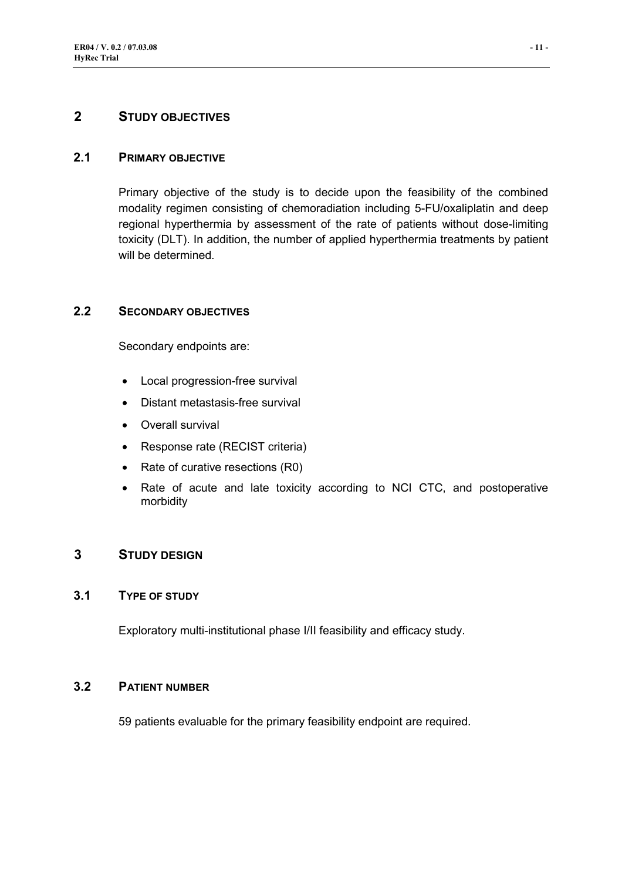## **2 STUDY OBJECTIVES**

## **2.1 PRIMARY OBJECTIVE**

Primary objective of the study is to decide upon the feasibility of the combined modality regimen consisting of chemoradiation including 5-FU/oxaliplatin and deep regional hyperthermia by assessment of the rate of patients without dose-limiting toxicity (DLT). In addition, the number of applied hyperthermia treatments by patient will be determined.

# **2.2 SECONDARY OBJECTIVES**

Secondary endpoints are:

- Local progression-free survival
- Distant metastasis-free survival
- Overall survival
- Response rate (RECIST criteria)
- Rate of curative resections (R0)
- Rate of acute and late toxicity according to NCI CTC, and postoperative morbidity

#### **3 STUDY DESIGN**

#### **3.1 TYPE OF STUDY**

Exploratory multi-institutional phase I/II feasibility and efficacy study.

# **3.2 PATIENT NUMBER**

59 patients evaluable for the primary feasibility endpoint are required.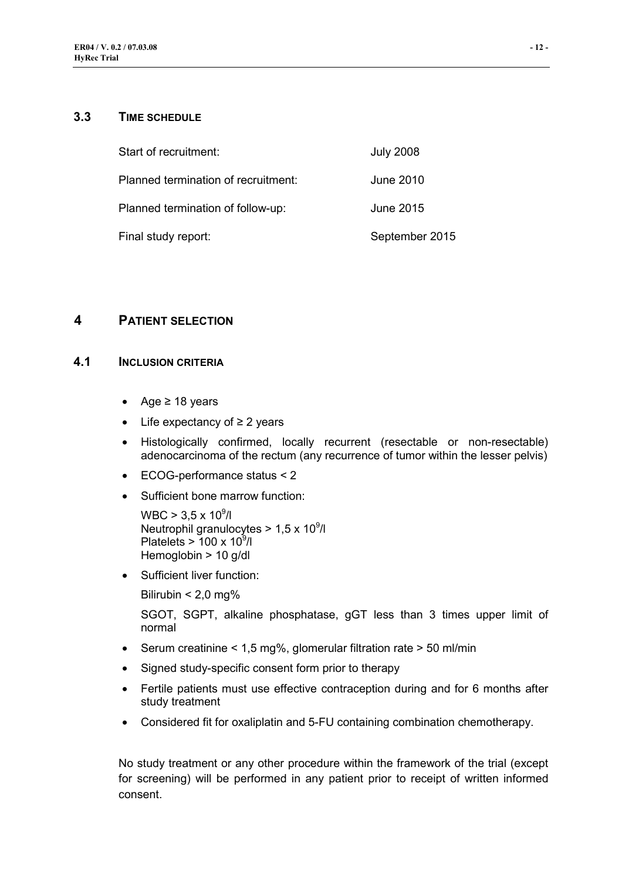## **3.3 TIME SCHEDULE**

| Start of recruitment:               | <b>July 2008</b> |
|-------------------------------------|------------------|
| Planned termination of recruitment: | June 2010        |
| Planned termination of follow-up:   | June 2015        |
| Final study report:                 | September 2015   |

# **4 PATIENT SELECTION**

## **4.1 INCLUSION CRITERIA**

- Age  $\geq$  18 years
- Life expectancy of ≥ 2 years
- Histologically confirmed, locally recurrent (resectable or non-resectable) adenocarcinoma of the rectum (any recurrence of tumor within the lesser pelvis)
- ECOG-performance status < 2
- Sufficient bone marrow function:

 $WBC > 3.5 \times 10^9$ /l Neutrophil granulocytes  $> 1.5 \times 10^9$ /l Platelets  $> 100 \times 10^9$ /l Hemoglobin > 10 g/dl

• Sufficient liver function:

Bilirubin  $< 2.0$  mg%

SGOT, SGPT, alkaline phosphatase, gGT less than 3 times upper limit of normal

- Serum creatinine < 1,5 mg%, glomerular filtration rate > 50 ml/min
- Signed study-specific consent form prior to therapy
- Fertile patients must use effective contraception during and for 6 months after study treatment
- Considered fit for oxaliplatin and 5-FU containing combination chemotherapy.

No study treatment or any other procedure within the framework of the trial (except for screening) will be performed in any patient prior to receipt of written informed consent.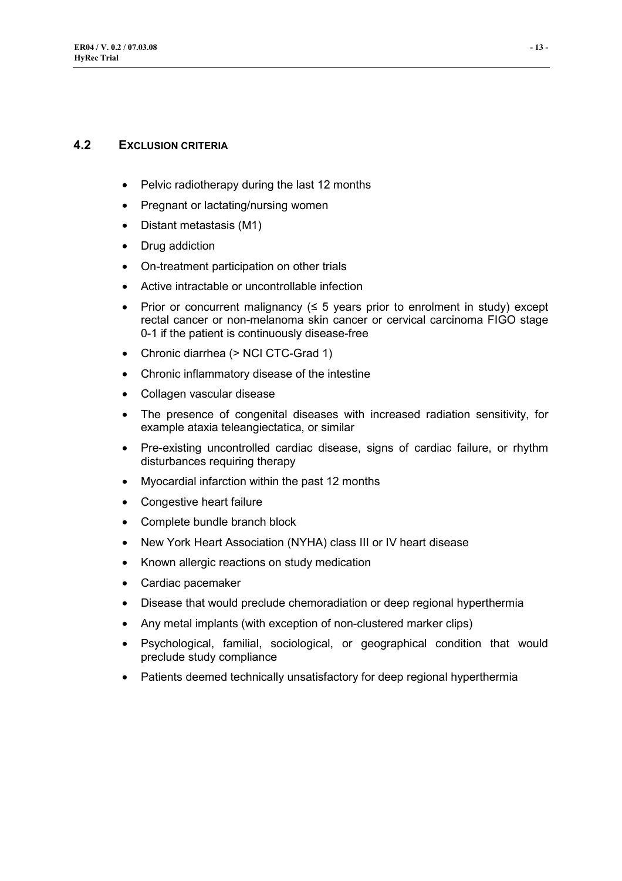## **4.2 EXCLUSION CRITERIA**

- Pelvic radiotherapy during the last 12 months
- Pregnant or lactating/nursing women
- Distant metastasis (M1)
- Drug addiction
- On-treatment participation on other trials
- Active intractable or uncontrollable infection
- Prior or concurrent malignancy  $(≤ 5$  years prior to enrolment in study) except rectal cancer or non-melanoma skin cancer or cervical carcinoma FIGO stage 0-1 if the patient is continuously disease-free
- Chronic diarrhea (> NCI CTC-Grad 1)
- Chronic inflammatory disease of the intestine
- Collagen vascular disease
- The presence of congenital diseases with increased radiation sensitivity, for example ataxia teleangiectatica, or similar
- Pre-existing uncontrolled cardiac disease, signs of cardiac failure, or rhythm disturbances requiring therapy
- Myocardial infarction within the past 12 months
- Congestive heart failure
- Complete bundle branch block
- New York Heart Association (NYHA) class III or IV heart disease
- Known allergic reactions on study medication
- Cardiac pacemaker
- Disease that would preclude chemoradiation or deep regional hyperthermia
- Any metal implants (with exception of non-clustered marker clips)
- Psychological, familial, sociological, or geographical condition that would preclude study compliance
- Patients deemed technically unsatisfactory for deep regional hyperthermia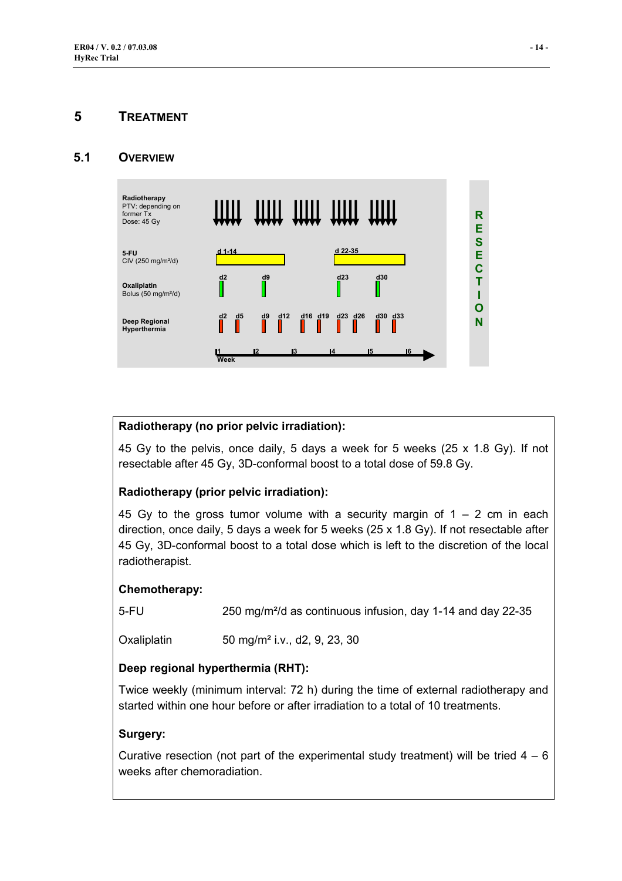# **5 TREATMENT**

# **5.1 OVERVIEW**



## **Radiotherapy (no prior pelvic irradiation):**

45 Gy to the pelvis, once daily, 5 days a week for 5 weeks (25 x 1.8 Gy). If not resectable after 45 Gy, 3D-conformal boost to a total dose of 59.8 Gy.

# **Radiotherapy (prior pelvic irradiation):**

45 Gy to the gross tumor volume with a security margin of  $1 - 2$  cm in each direction, once daily, 5 days a week for 5 weeks (25 x 1.8 Gy). If not resectable after 45 Gy, 3D-conformal boost to a total dose which is left to the discretion of the local radiotherapist.

#### **Chemotherapy:**

5-FU 250 mg/m²/d as continuous infusion, day 1-14 and day 22-35

Oxaliplatin 50 mg/m² i.v., d2, 9, 23, 30

#### **Deep regional hyperthermia (RHT):**

Twice weekly (minimum interval: 72 h) during the time of external radiotherapy and started within one hour before or after irradiation to a total of 10 treatments.

#### **Surgery:**

Curative resection (not part of the experimental study treatment) will be tried  $4 - 6$ weeks after chemoradiation.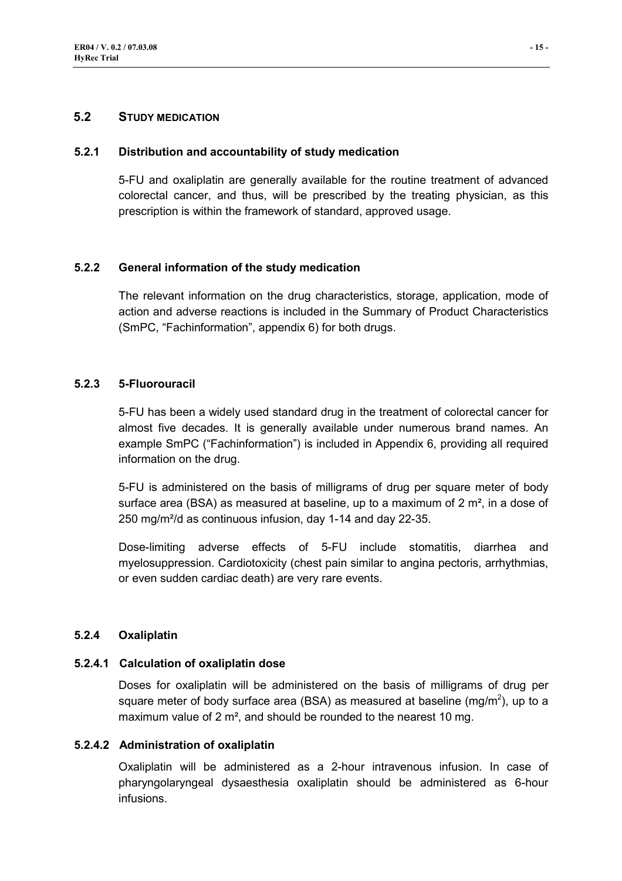## **5.2 STUDY MEDICATION**

#### **5.2.1 Distribution and accountability of study medication**

5-FU and oxaliplatin are generally available for the routine treatment of advanced colorectal cancer, and thus, will be prescribed by the treating physician, as this prescription is within the framework of standard, approved usage.

#### **5.2.2 General information of the study medication**

The relevant information on the drug characteristics, storage, application, mode of action and adverse reactions is included in the Summary of Product Characteristics (SmPC, "Fachinformation", appendix 6) for both drugs.

#### **5.2.3 5-Fluorouracil**

5-FU has been a widely used standard drug in the treatment of colorectal cancer for almost five decades. It is generally available under numerous brand names. An example SmPC ("Fachinformation") is included in Appendix 6, providing all required information on the drug.

5-FU is administered on the basis of milligrams of drug per square meter of body surface area (BSA) as measured at baseline, up to a maximum of  $2 \, \text{m}^2$ , in a dose of 250 mg/m²/d as continuous infusion, day 1-14 and day 22-35.

Dose-limiting adverse effects of 5-FU include stomatitis, diarrhea and myelosuppression. Cardiotoxicity (chest pain similar to angina pectoris, arrhythmias, or even sudden cardiac death) are very rare events.

#### **5.2.4 Oxaliplatin**

#### **5.2.4.1 Calculation of oxaliplatin dose**

Doses for oxaliplatin will be administered on the basis of milligrams of drug per square meter of body surface area (BSA) as measured at baseline (mg/m<sup>2</sup>), up to a maximum value of 2 m<sup>2</sup>, and should be rounded to the nearest 10 mg.

#### **5.2.4.2 Administration of oxaliplatin**

Oxaliplatin will be administered as a 2-hour intravenous infusion. In case of pharyngolaryngeal dysaesthesia oxaliplatin should be administered as 6-hour infusions.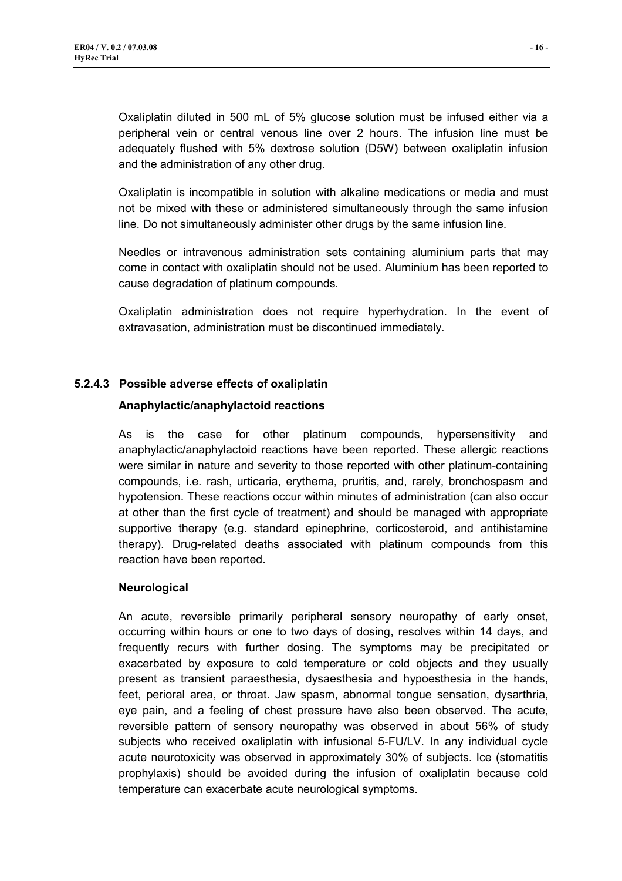Oxaliplatin diluted in 500 mL of 5% glucose solution must be infused either via a peripheral vein or central venous line over 2 hours. The infusion line must be adequately flushed with 5% dextrose solution (D5W) between oxaliplatin infusion and the administration of any other drug.

Oxaliplatin is incompatible in solution with alkaline medications or media and must not be mixed with these or administered simultaneously through the same infusion line. Do not simultaneously administer other drugs by the same infusion line.

Needles or intravenous administration sets containing aluminium parts that may come in contact with oxaliplatin should not be used. Aluminium has been reported to cause degradation of platinum compounds.

Oxaliplatin administration does not require hyperhydration. In the event of extravasation, administration must be discontinued immediately.

# **5.2.4.3 Possible adverse effects of oxaliplatin**

## **Anaphylactic/anaphylactoid reactions**

As is the case for other platinum compounds, hypersensitivity and anaphylactic/anaphylactoid reactions have been reported. These allergic reactions were similar in nature and severity to those reported with other platinum-containing compounds, i.e. rash, urticaria, erythema, pruritis, and, rarely, bronchospasm and hypotension. These reactions occur within minutes of administration (can also occur at other than the first cycle of treatment) and should be managed with appropriate supportive therapy (e.g. standard epinephrine, corticosteroid, and antihistamine therapy). Drug-related deaths associated with platinum compounds from this reaction have been reported.

#### **Neurological**

An acute, reversible primarily peripheral sensory neuropathy of early onset, occurring within hours or one to two days of dosing, resolves within 14 days, and frequently recurs with further dosing. The symptoms may be precipitated or exacerbated by exposure to cold temperature or cold objects and they usually present as transient paraesthesia, dysaesthesia and hypoesthesia in the hands, feet, perioral area, or throat. Jaw spasm, abnormal tongue sensation, dysarthria, eye pain, and a feeling of chest pressure have also been observed. The acute, reversible pattern of sensory neuropathy was observed in about 56% of study subjects who received oxaliplatin with infusional 5-FU/LV. In any individual cycle acute neurotoxicity was observed in approximately 30% of subjects. Ice (stomatitis prophylaxis) should be avoided during the infusion of oxaliplatin because cold temperature can exacerbate acute neurological symptoms.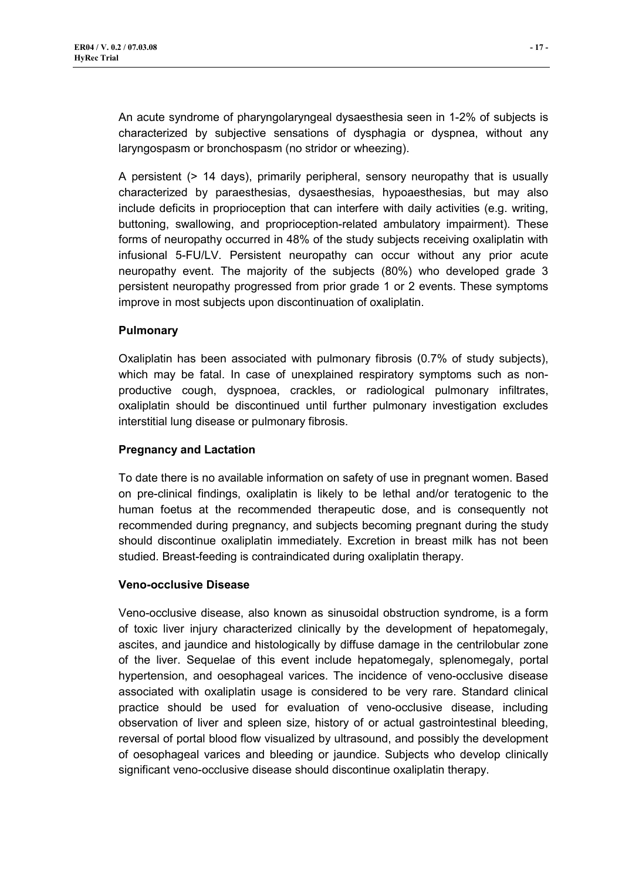An acute syndrome of pharyngolaryngeal dysaesthesia seen in 1-2% of subjects is characterized by subjective sensations of dysphagia or dyspnea, without any laryngospasm or bronchospasm (no stridor or wheezing).

A persistent (> 14 days), primarily peripheral, sensory neuropathy that is usually characterized by paraesthesias, dysaesthesias, hypoaesthesias, but may also include deficits in proprioception that can interfere with daily activities (e.g. writing, buttoning, swallowing, and proprioception-related ambulatory impairment). These forms of neuropathy occurred in 48% of the study subjects receiving oxaliplatin with infusional 5-FU/LV. Persistent neuropathy can occur without any prior acute neuropathy event. The majority of the subjects (80%) who developed grade 3 persistent neuropathy progressed from prior grade 1 or 2 events. These symptoms improve in most subjects upon discontinuation of oxaliplatin.

## **Pulmonary**

Oxaliplatin has been associated with pulmonary fibrosis (0.7% of study subjects), which may be fatal. In case of unexplained respiratory symptoms such as nonproductive cough, dyspnoea, crackles, or radiological pulmonary infiltrates, oxaliplatin should be discontinued until further pulmonary investigation excludes interstitial lung disease or pulmonary fibrosis.

#### **Pregnancy and Lactation**

To date there is no available information on safety of use in pregnant women. Based on pre-clinical findings, oxaliplatin is likely to be lethal and/or teratogenic to the human foetus at the recommended therapeutic dose, and is consequently not recommended during pregnancy, and subjects becoming pregnant during the study should discontinue oxaliplatin immediately. Excretion in breast milk has not been studied. Breast-feeding is contraindicated during oxaliplatin therapy.

#### **Veno-occlusive Disease**

Veno-occlusive disease, also known as sinusoidal obstruction syndrome, is a form of toxic liver injury characterized clinically by the development of hepatomegaly, ascites, and jaundice and histologically by diffuse damage in the centrilobular zone of the liver. Sequelae of this event include hepatomegaly, splenomegaly, portal hypertension, and oesophageal varices. The incidence of veno-occlusive disease associated with oxaliplatin usage is considered to be very rare. Standard clinical practice should be used for evaluation of veno-occlusive disease, including observation of liver and spleen size, history of or actual gastrointestinal bleeding, reversal of portal blood flow visualized by ultrasound, and possibly the development of oesophageal varices and bleeding or jaundice. Subjects who develop clinically significant veno-occlusive disease should discontinue oxaliplatin therapy.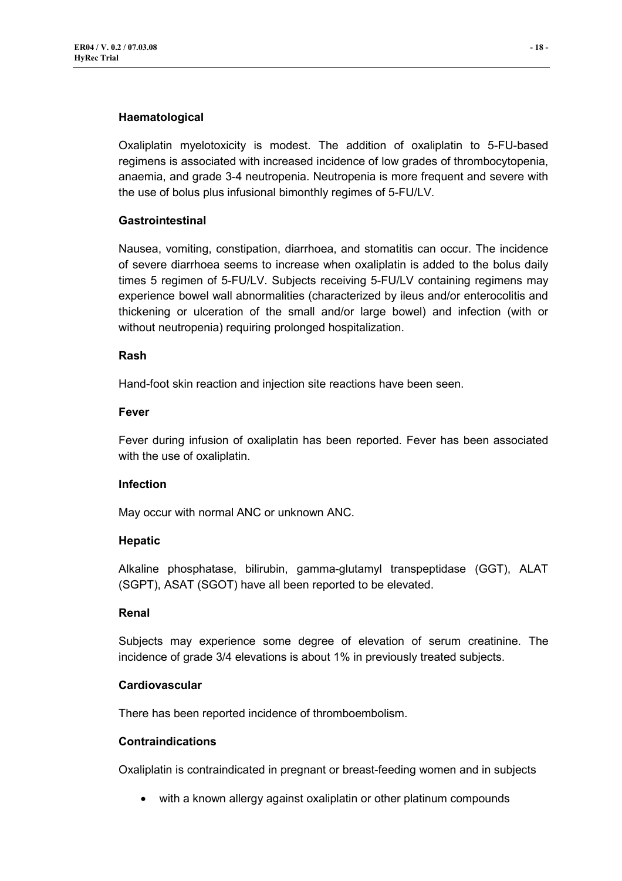#### **Haematological**

Oxaliplatin myelotoxicity is modest. The addition of oxaliplatin to 5-FU-based regimens is associated with increased incidence of low grades of thrombocytopenia, anaemia, and grade 3-4 neutropenia. Neutropenia is more frequent and severe with the use of bolus plus infusional bimonthly regimes of 5-FU/LV.

#### **Gastrointestinal**

Nausea, vomiting, constipation, diarrhoea, and stomatitis can occur. The incidence of severe diarrhoea seems to increase when oxaliplatin is added to the bolus daily times 5 regimen of 5-FU/LV. Subjects receiving 5-FU/LV containing regimens may experience bowel wall abnormalities (characterized by ileus and/or enterocolitis and thickening or ulceration of the small and/or large bowel) and infection (with or without neutropenia) requiring prolonged hospitalization.

#### **Rash**

Hand-foot skin reaction and injection site reactions have been seen.

#### **Fever**

Fever during infusion of oxaliplatin has been reported. Fever has been associated with the use of oxaliplatin.

#### **Infection**

May occur with normal ANC or unknown ANC.

#### **Hepatic**

Alkaline phosphatase, bilirubin, gamma-glutamyl transpeptidase (GGT), ALAT (SGPT), ASAT (SGOT) have all been reported to be elevated.

#### **Renal**

Subjects may experience some degree of elevation of serum creatinine. The incidence of grade 3/4 elevations is about 1% in previously treated subjects.

#### **Cardiovascular**

There has been reported incidence of thromboembolism.

#### **Contraindications**

Oxaliplatin is contraindicated in pregnant or breast-feeding women and in subjects

• with a known allergy against oxaliplatin or other platinum compounds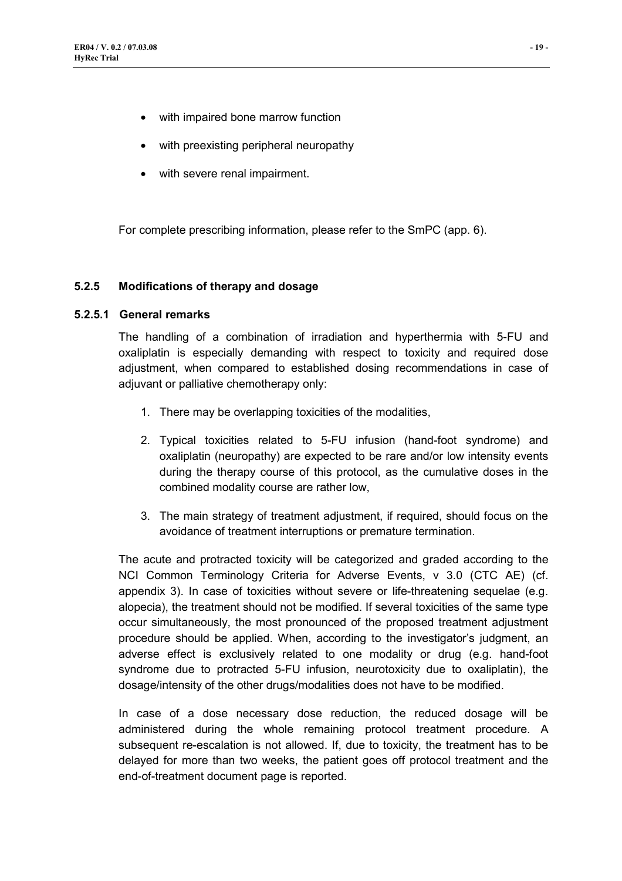- with impaired bone marrow function
- with preexisting peripheral neuropathy
- with severe renal impairment.

For complete prescribing information, please refer to the SmPC (app. 6).

## **5.2.5 Modifications of therapy and dosage**

#### **5.2.5.1 General remarks**

The handling of a combination of irradiation and hyperthermia with 5-FU and oxaliplatin is especially demanding with respect to toxicity and required dose adjustment, when compared to established dosing recommendations in case of adjuvant or palliative chemotherapy only:

- 1. There may be overlapping toxicities of the modalities,
- 2. Typical toxicities related to 5-FU infusion (hand-foot syndrome) and oxaliplatin (neuropathy) are expected to be rare and/or low intensity events during the therapy course of this protocol, as the cumulative doses in the combined modality course are rather low,
- 3. The main strategy of treatment adjustment, if required, should focus on the avoidance of treatment interruptions or premature termination.

The acute and protracted toxicity will be categorized and graded according to the NCI Common Terminology Criteria for Adverse Events, v 3.0 (CTC AE) (cf. appendix 3). In case of toxicities without severe or life-threatening sequelae (e.g. alopecia), the treatment should not be modified. If several toxicities of the same type occur simultaneously, the most pronounced of the proposed treatment adjustment procedure should be applied. When, according to the investigator's judgment, an adverse effect is exclusively related to one modality or drug (e.g. hand-foot syndrome due to protracted 5-FU infusion, neurotoxicity due to oxaliplatin), the dosage/intensity of the other drugs/modalities does not have to be modified.

In case of a dose necessary dose reduction, the reduced dosage will be administered during the whole remaining protocol treatment procedure. A subsequent re-escalation is not allowed. If, due to toxicity, the treatment has to be delayed for more than two weeks, the patient goes off protocol treatment and the end-of-treatment document page is reported.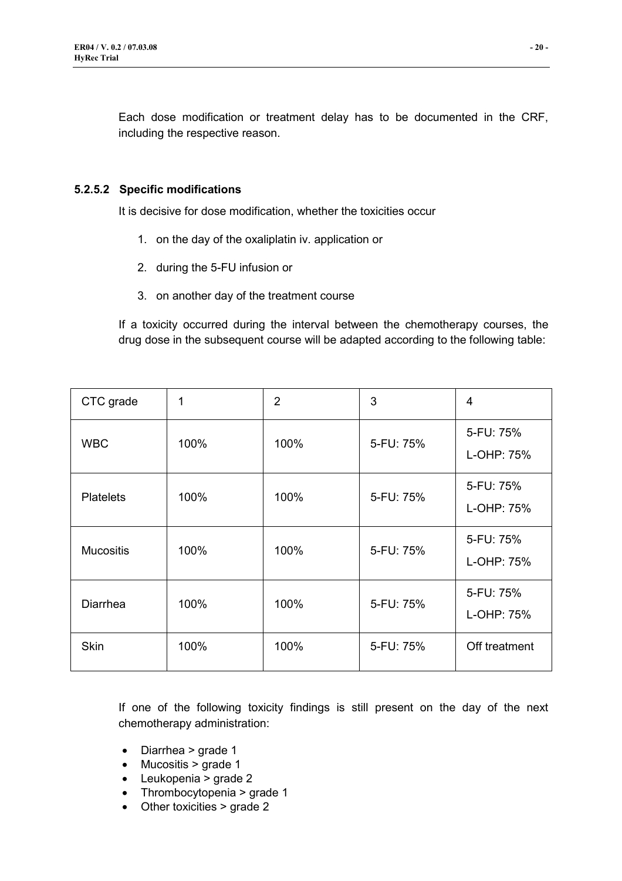Each dose modification or treatment delay has to be documented in the CRF, including the respective reason.

## **5.2.5.2 Specific modifications**

It is decisive for dose modification, whether the toxicities occur

- 1. on the day of the oxaliplatin iv. application or
- 2. during the 5-FU infusion or
- 3. on another day of the treatment course

If a toxicity occurred during the interval between the chemotherapy courses, the drug dose in the subsequent course will be adapted according to the following table:

| CTC grade        | 1    | 3<br>$\overline{2}$ |           | 4                       |
|------------------|------|---------------------|-----------|-------------------------|
| <b>WBC</b>       | 100% | 100%                | 5-FU: 75% |                         |
| <b>Platelets</b> | 100% | 100%                | 5-FU: 75% | 5-FU: 75%<br>L-OHP: 75% |
| <b>Mucositis</b> | 100% | 100%                | 5-FU: 75% | 5-FU: 75%<br>L-OHP: 75% |
| Diarrhea         | 100% | 100%                | 5-FU: 75% | 5-FU: 75%<br>L-OHP: 75% |
| <b>Skin</b>      | 100% | 100%                | 5-FU: 75% | Off treatment           |

If one of the following toxicity findings is still present on the day of the next chemotherapy administration:

- Diarrhea > grade 1
- Mucositis > grade 1
- Leukopenia > grade 2
- Thrombocytopenia > grade 1
- Other toxicities > grade 2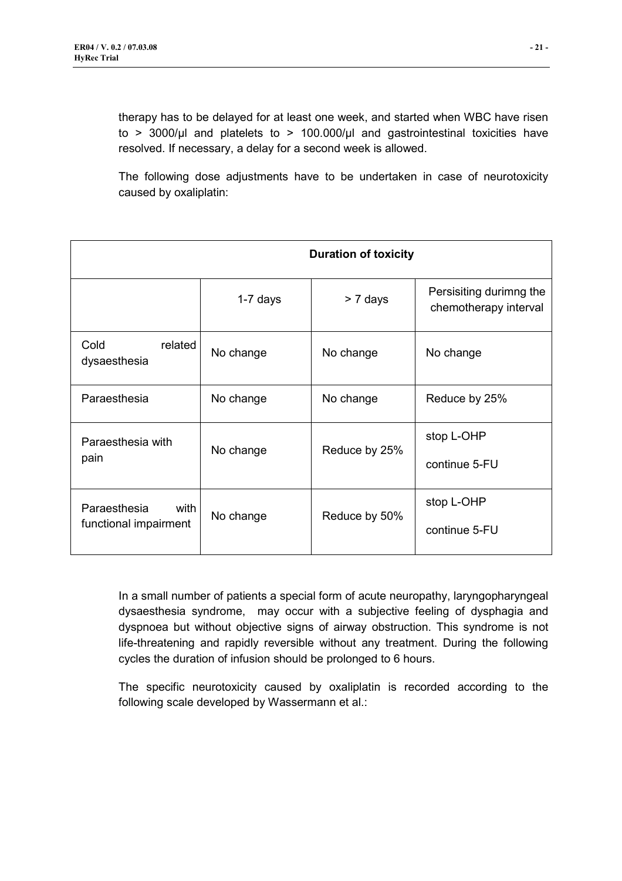therapy has to be delayed for at least one week, and started when WBC have risen to > 3000/ $\mu$ l and platelets to > 100.000/ $\mu$ l and gastrointestinal toxicities have resolved. If necessary, a delay for a second week is allowed.

The following dose adjustments have to be undertaken in case of neurotoxicity caused by oxaliplatin:

|                                               | <b>Duration of toxicity</b> |               |                                                  |  |
|-----------------------------------------------|-----------------------------|---------------|--------------------------------------------------|--|
|                                               | $1-7$ days                  | > 7 days      | Persisiting durimng the<br>chemotherapy interval |  |
| Cold<br>related<br>dysaesthesia               | No change                   | No change     | No change                                        |  |
| Paraesthesia                                  | No change                   | No change     | Reduce by 25%                                    |  |
| Paraesthesia with<br>pain                     | No change                   | Reduce by 25% | stop L-OHP<br>continue 5-FU                      |  |
| Paraesthesia<br>with<br>functional impairment | No change                   | Reduce by 50% | stop L-OHP<br>continue 5-FU                      |  |

In a small number of patients a special form of acute neuropathy, laryngopharyngeal dysaesthesia syndrome, may occur with a subjective feeling of dysphagia and dyspnoea but without objective signs of airway obstruction. This syndrome is not life-threatening and rapidly reversible without any treatment. During the following cycles the duration of infusion should be prolonged to 6 hours.

The specific neurotoxicity caused by oxaliplatin is recorded according to the following scale developed by Wassermann et al.: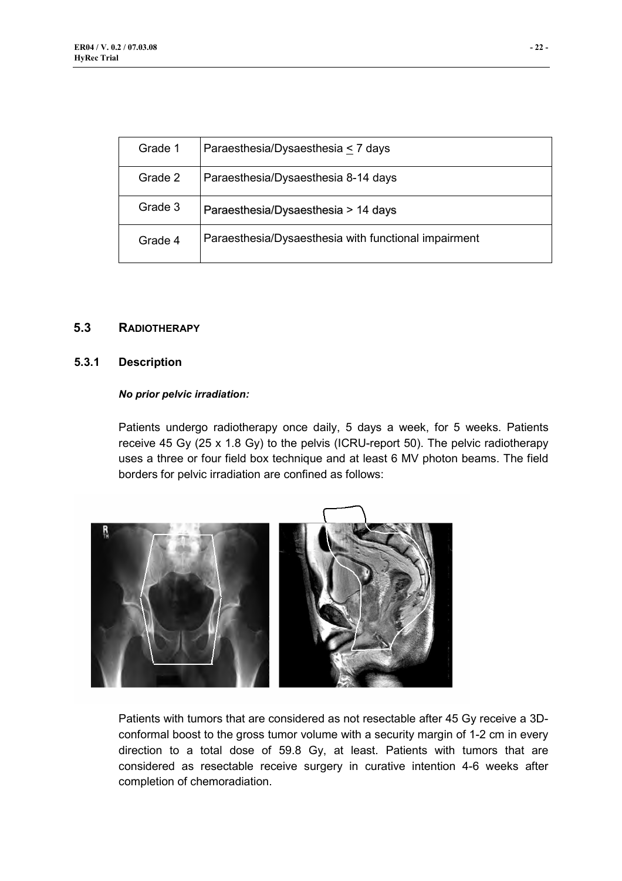| Grade 1 | Paraesthesia/Dysaesthesia < 7 days                   |
|---------|------------------------------------------------------|
| Grade 2 | Paraesthesia/Dysaesthesia 8-14 days                  |
| Grade 3 | Paraesthesia/Dysaesthesia > 14 days                  |
| Grade 4 | Paraesthesia/Dysaesthesia with functional impairment |

#### **5.3 RADIOTHERAPY**

#### **5.3.1 Description**

#### *No prior pelvic irradiation:*

Patients undergo radiotherapy once daily, 5 days a week, for 5 weeks. Patients receive 45 Gy (25 x 1.8 Gy) to the pelvis (ICRU-report 50). The pelvic radiotherapy uses a three or four field box technique and at least 6 MV photon beams. The field borders for pelvic irradiation are confined as follows:



Patients with tumors that are considered as not resectable after 45 Gy receive a 3Dconformal boost to the gross tumor volume with a security margin of 1-2 cm in every direction to a total dose of 59.8 Gy, at least. Patients with tumors that are considered as resectable receive surgery in curative intention 4-6 weeks after completion of chemoradiation.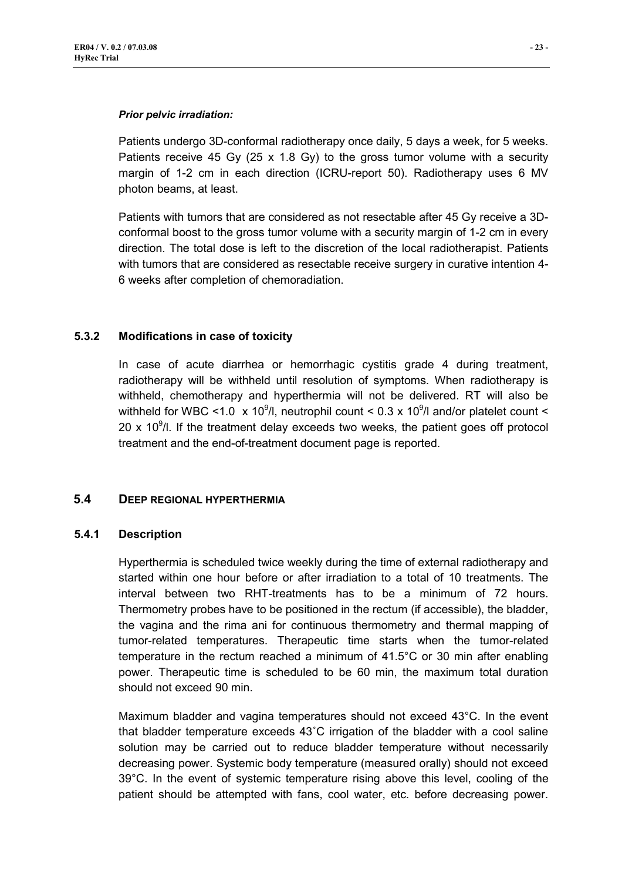#### *Prior pelvic irradiation:*

Patients undergo 3D-conformal radiotherapy once daily, 5 days a week, for 5 weeks. Patients receive 45 Gy (25 x 1.8 Gy) to the gross tumor volume with a security margin of 1-2 cm in each direction (ICRU-report 50). Radiotherapy uses 6 MV photon beams, at least.

Patients with tumors that are considered as not resectable after 45 Gy receive a 3Dconformal boost to the gross tumor volume with a security margin of 1-2 cm in every direction. The total dose is left to the discretion of the local radiotherapist. Patients with tumors that are considered as resectable receive surgery in curative intention 4- 6 weeks after completion of chemoradiation.

## **5.3.2 Modifications in case of toxicity**

In case of acute diarrhea or hemorrhagic cystitis grade 4 during treatment, radiotherapy will be withheld until resolution of symptoms. When radiotherapy is withheld, chemotherapy and hyperthermia will not be delivered. RT will also be withheld for WBC <1.0  $\times$  10<sup>9</sup>/l, neutrophil count < 0.3  $\times$  10<sup>9</sup>/l and/or platelet count < 20 x  $10^9$ /l. If the treatment delay exceeds two weeks, the patient goes off protocol treatment and the end-of-treatment document page is reported.

# **5.4 DEEP REGIONAL HYPERTHERMIA**

#### **5.4.1 Description**

Hyperthermia is scheduled twice weekly during the time of external radiotherapy and started within one hour before or after irradiation to a total of 10 treatments. The interval between two RHT-treatments has to be a minimum of 72 hours. Thermometry probes have to be positioned in the rectum (if accessible), the bladder, the vagina and the rima ani for continuous thermometry and thermal mapping of tumor-related temperatures. Therapeutic time starts when the tumor-related temperature in the rectum reached a minimum of 41.5°C or 30 min after enabling power. Therapeutic time is scheduled to be 60 min, the maximum total duration should not exceed 90 min.

Maximum bladder and vagina temperatures should not exceed 43°C. In the event that bladder temperature exceeds 43˚C irrigation of the bladder with a cool saline solution may be carried out to reduce bladder temperature without necessarily decreasing power. Systemic body temperature (measured orally) should not exceed 39°C. In the event of systemic temperature rising above this level, cooling of the patient should be attempted with fans, cool water, etc. before decreasing power.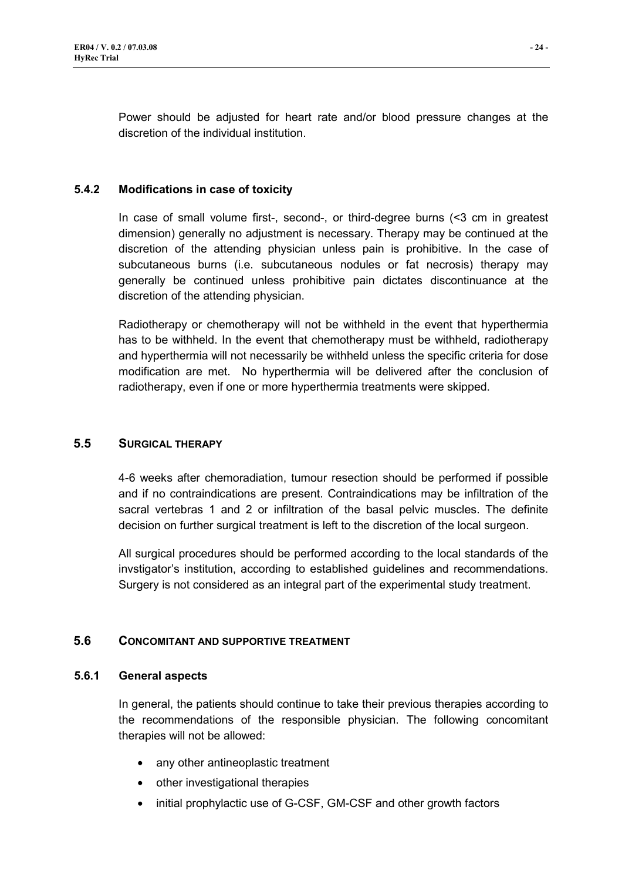Power should be adjusted for heart rate and/or blood pressure changes at the discretion of the individual institution.

#### **5.4.2 Modifications in case of toxicity**

In case of small volume first-, second-, or third-degree burns (<3 cm in greatest dimension) generally no adjustment is necessary. Therapy may be continued at the discretion of the attending physician unless pain is prohibitive. In the case of subcutaneous burns (i.e. subcutaneous nodules or fat necrosis) therapy may generally be continued unless prohibitive pain dictates discontinuance at the discretion of the attending physician.

Radiotherapy or chemotherapy will not be withheld in the event that hyperthermia has to be withheld. In the event that chemotherapy must be withheld, radiotherapy and hyperthermia will not necessarily be withheld unless the specific criteria for dose modification are met. No hyperthermia will be delivered after the conclusion of radiotherapy, even if one or more hyperthermia treatments were skipped.

# **5.5 SURGICAL THERAPY**

4-6 weeks after chemoradiation, tumour resection should be performed if possible and if no contraindications are present. Contraindications may be infiltration of the sacral vertebras 1 and 2 or infiltration of the basal pelvic muscles. The definite decision on further surgical treatment is left to the discretion of the local surgeon.

All surgical procedures should be performed according to the local standards of the invstigator's institution, according to established guidelines and recommendations. Surgery is not considered as an integral part of the experimental study treatment.

#### **5.6 CONCOMITANT AND SUPPORTIVE TREATMENT**

#### **5.6.1 General aspects**

In general, the patients should continue to take their previous therapies according to the recommendations of the responsible physician. The following concomitant therapies will not be allowed:

- any other antineoplastic treatment
- other investigational therapies
- initial prophylactic use of G-CSF, GM-CSF and other growth factors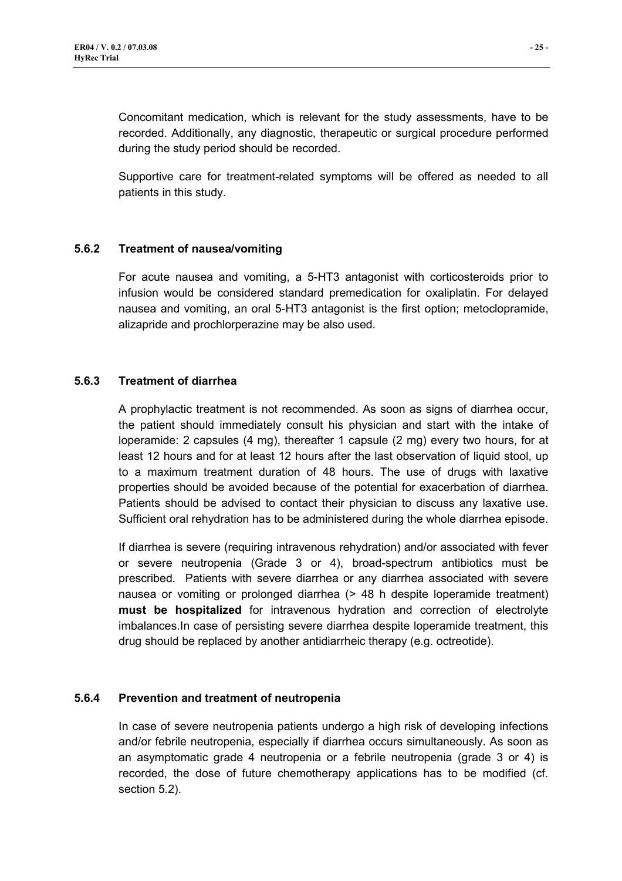Concomitant medication, which is relevant for the study assessments, have to be recorded. Additionally, any diagnostic, therapeutic or surgical procedure performed during the study period should be recorded.

Supportive care for treatment-related symptoms will be offered as needed to all patients in this study.

## **5.6.2 Treatment of nausea/vomiting**

For acute nausea and vomiting, a 5-HT3 antagonist with corticosteroids prior to infusion would be considered standard premedication for oxaliplatin. For delayed nausea and vomiting, an oral 5-HT3 antagonist is the first option; metoclopramide, alizapride and prochlorperazine may be also used.

#### **5.6.3 Treatment of diarrhea**

A prophylactic treatment is not recommended. As soon as signs of diarrhea occur, the patient should immediately consult his physician and start with the intake of loperamide: 2 capsules (4 mg), thereafter 1 capsule (2 mg) every two hours, for at least 12 hours and for at least 12 hours after the last observation of liquid stool, up to a maximum treatment duration of 48 hours. The use of drugs with laxative properties should be avoided because of the potential for exacerbation of diarrhea. Patients should be advised to contact their physician to discuss any laxative use. Sufficient oral rehydration has to be administered during the whole diarrhea episode.

If diarrhea is severe (requiring intravenous rehydration) and/or associated with fever or severe neutropenia (Grade 3 or 4), broad-spectrum antibiotics must be prescribed. Patients with severe diarrhea or any diarrhea associated with severe nausea or vomiting or prolonged diarrhea (> 48 h despite loperamide treatment) **must be hospitalized** for intravenous hydration and correction of electrolyte imbalances.In case of persisting severe diarrhea despite loperamide treatment, this drug should be replaced by another antidiarrheic therapy (e.g. octreotide).

#### **5.6.4 Prevention and treatment of neutropenia**

In case of severe neutropenia patients undergo a high risk of developing infections and/or febrile neutropenia, especially if diarrhea occurs simultaneously. As soon as an asymptomatic grade 4 neutropenia or a febrile neutropenia (grade 3 or 4) is recorded, the dose of future chemotherapy applications has to be modified (cf. section 5.2).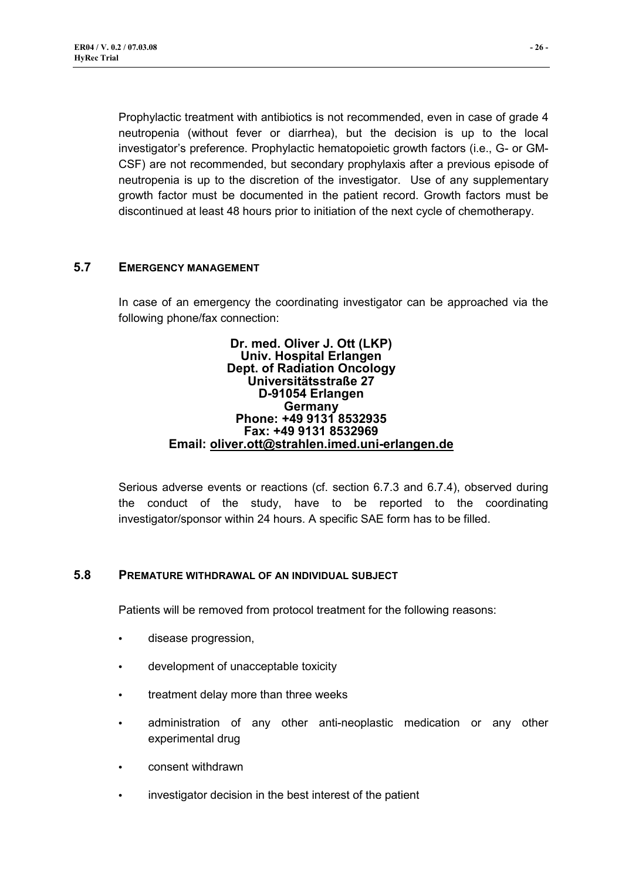Prophylactic treatment with antibiotics is not recommended, even in case of grade 4 neutropenia (without fever or diarrhea), but the decision is up to the local investigator's preference. Prophylactic hematopoietic growth factors (i.e., G- or GM-CSF) are not recommended, but secondary prophylaxis after a previous episode of neutropenia is up to the discretion of the investigator. Use of any supplementary growth factor must be documented in the patient record. Growth factors must be discontinued at least 48 hours prior to initiation of the next cycle of chemotherapy.

#### **5.7 EMERGENCY MANAGEMENT**

In case of an emergency the coordinating investigator can be approached via the following phone/fax connection:

#### **Dr. med. Oliver J. Ott (LKP) Univ. Hospital Erlangen Dept. of Radiation Oncology Universitätsstraße 27 D-91054 Erlangen Germany Phone: +49 9131 8532935 Fax: +49 9131 8532969 Email: oliver.ott@strahlen.imed.uni-erlangen.de**

Serious adverse events or reactions (cf. section 6.7.3 and 6.7.4), observed during the conduct of the study, have to be reported to the coordinating investigator/sponsor within 24 hours. A specific SAE form has to be filled.

#### **5.8 PREMATURE WITHDRAWAL OF AN INDIVIDUAL SUBJECT**

Patients will be removed from protocol treatment for the following reasons:

- disease progression,
- development of unacceptable toxicity
- treatment delay more than three weeks
- administration of any other anti-neoplastic medication or any other experimental drug
- consent withdrawn
- investigator decision in the best interest of the patient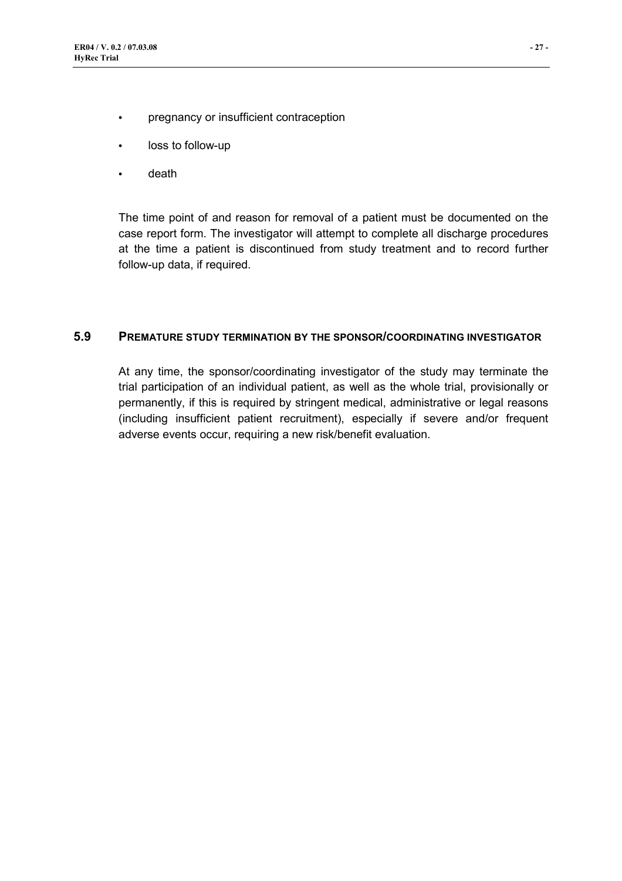- pregnancy or insufficient contraception
- loss to follow-up
- death

The time point of and reason for removal of a patient must be documented on the case report form. The investigator will attempt to complete all discharge procedures at the time a patient is discontinued from study treatment and to record further follow-up data, if required.

## **5.9 PREMATURE STUDY TERMINATION BY THE SPONSOR/COORDINATING INVESTIGATOR**

At any time, the sponsor/coordinating investigator of the study may terminate the trial participation of an individual patient, as well as the whole trial, provisionally or permanently, if this is required by stringent medical, administrative or legal reasons (including insufficient patient recruitment), especially if severe and/or frequent adverse events occur, requiring a new risk/benefit evaluation.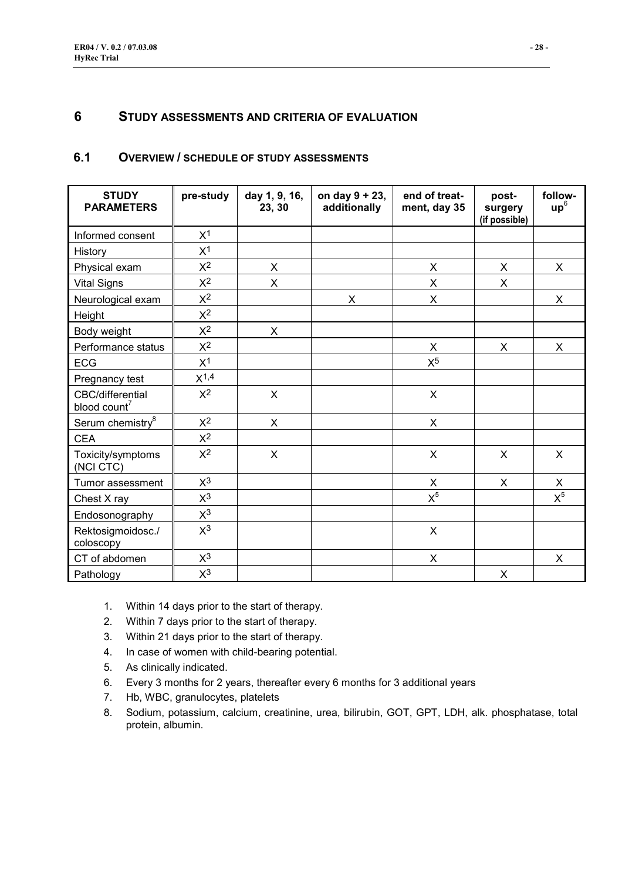# **6 STUDY ASSESSMENTS AND CRITERIA OF EVALUATION**

| <b>STUDY</b><br><b>PARAMETERS</b>            | pre-study      | day 1, 9, 16,<br>23, 30 | on day $9 + 23$ ,<br>additionally | end of treat-<br>ment, day 35 | post-<br>surgery<br>(if possible) | follow-<br>up <sup>6</sup> |
|----------------------------------------------|----------------|-------------------------|-----------------------------------|-------------------------------|-----------------------------------|----------------------------|
| Informed consent                             | X <sup>1</sup> |                         |                                   |                               |                                   |                            |
| History                                      | X <sup>1</sup> |                         |                                   |                               |                                   |                            |
| Physical exam                                | $X^2$          | X                       |                                   | X                             | X                                 | X                          |
| <b>Vital Signs</b>                           | $X^2$          | X                       |                                   | $\mathsf{X}$                  | X                                 |                            |
| Neurological exam                            | $X^2$          |                         | $\pmb{\times}$                    | $\mathsf X$                   |                                   | X                          |
| Height                                       | $X^2$          |                         |                                   |                               |                                   |                            |
| Body weight                                  | $\mathsf{X}^2$ | X                       |                                   |                               |                                   |                            |
| Performance status                           | $\mathsf{X}^2$ |                         |                                   | $\pmb{\times}$                | X                                 | X                          |
| ECG                                          | X <sup>1</sup> |                         |                                   | $X^5$                         |                                   |                            |
| Pregnancy test                               | $X^{1,4}$      |                         |                                   |                               |                                   |                            |
| CBC/differential<br>blood count <sup>7</sup> | $X^2$          | $\mathsf{X}$            |                                   | $\pmb{\times}$                |                                   |                            |
| Serum chemistry <sup>8</sup>                 | $\mathsf{X}^2$ | X                       |                                   | X                             |                                   |                            |
| <b>CEA</b>                                   | $\mathsf{X}^2$ |                         |                                   |                               |                                   |                            |
| Toxicity/symptoms<br>(NCI CTC)               | $X^2$          | $\pmb{\times}$          |                                   | $\pmb{\times}$                | $\boldsymbol{\mathsf{X}}$         | X                          |
| Tumor assessment                             | $X^3$          |                         |                                   | $\pmb{\times}$                | X                                 | X                          |
| Chest X ray                                  | $X^3$          |                         |                                   | $X^5$                         |                                   | $X^5$                      |
| Endosonography                               | $X^3$          |                         |                                   |                               |                                   |                            |
| Rektosigmoidosc./<br>coloscopy               | $X^3$          |                         |                                   | $\boldsymbol{\mathsf{X}}$     |                                   |                            |
| CT of abdomen                                | $X^3$          |                         |                                   | $\pmb{\times}$                |                                   | X                          |
| Pathology                                    | $X^3$          |                         |                                   |                               | $\boldsymbol{\mathsf{X}}$         |                            |

## **6.1 OVERVIEW / SCHEDULE OF STUDY ASSESSMENTS**

- 1. Within 14 days prior to the start of therapy.
- 2. Within 7 days prior to the start of therapy.
- 3. Within 21 days prior to the start of therapy.
- 4. In case of women with child-bearing potential.
- 5. As clinically indicated.
- 6. Every 3 months for 2 years, thereafter every 6 months for 3 additional years
- 7. Hb, WBC, granulocytes, platelets
- 8. Sodium, potassium, calcium, creatinine, urea, bilirubin, GOT, GPT, LDH, alk. phosphatase, total protein, albumin.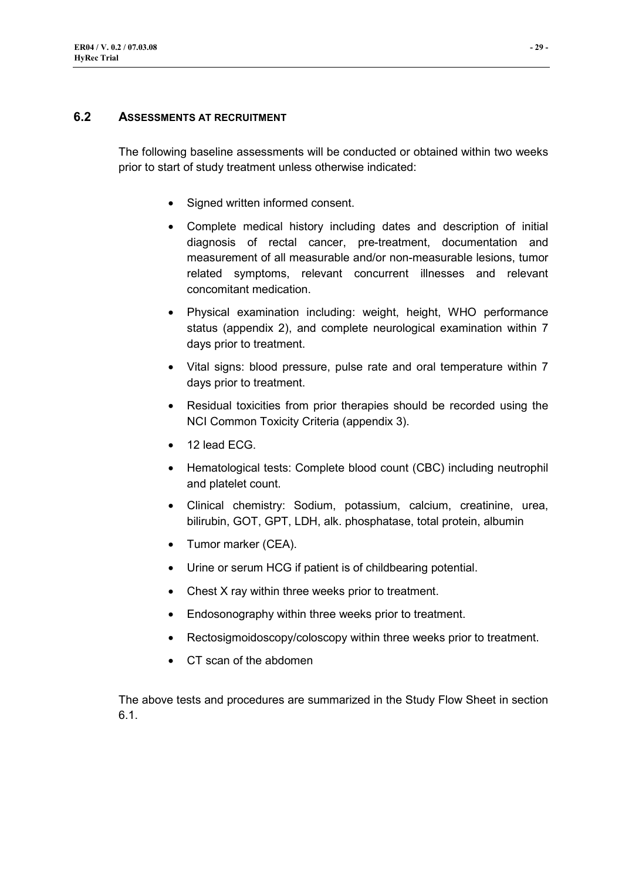## **6.2 ASSESSMENTS AT RECRUITMENT**

The following baseline assessments will be conducted or obtained within two weeks prior to start of study treatment unless otherwise indicated:

- Signed written informed consent.
- Complete medical history including dates and description of initial diagnosis of rectal cancer, pre-treatment, documentation and measurement of all measurable and/or non-measurable lesions, tumor related symptoms, relevant concurrent illnesses and relevant concomitant medication.
- Physical examination including: weight, height, WHO performance status (appendix 2), and complete neurological examination within 7 days prior to treatment.
- Vital signs: blood pressure, pulse rate and oral temperature within 7 days prior to treatment.
- Residual toxicities from prior therapies should be recorded using the NCI Common Toxicity Criteria (appendix 3).
- 12 lead ECG.
- Hematological tests: Complete blood count (CBC) including neutrophil and platelet count.
- Clinical chemistry: Sodium, potassium, calcium, creatinine, urea, bilirubin, GOT, GPT, LDH, alk. phosphatase, total protein, albumin
- Tumor marker (CEA).
- Urine or serum HCG if patient is of childbearing potential.
- Chest X ray within three weeks prior to treatment.
- Endosonography within three weeks prior to treatment.
- Rectosigmoidoscopy/coloscopy within three weeks prior to treatment.
- CT scan of the abdomen

The above tests and procedures are summarized in the Study Flow Sheet in section 6.1.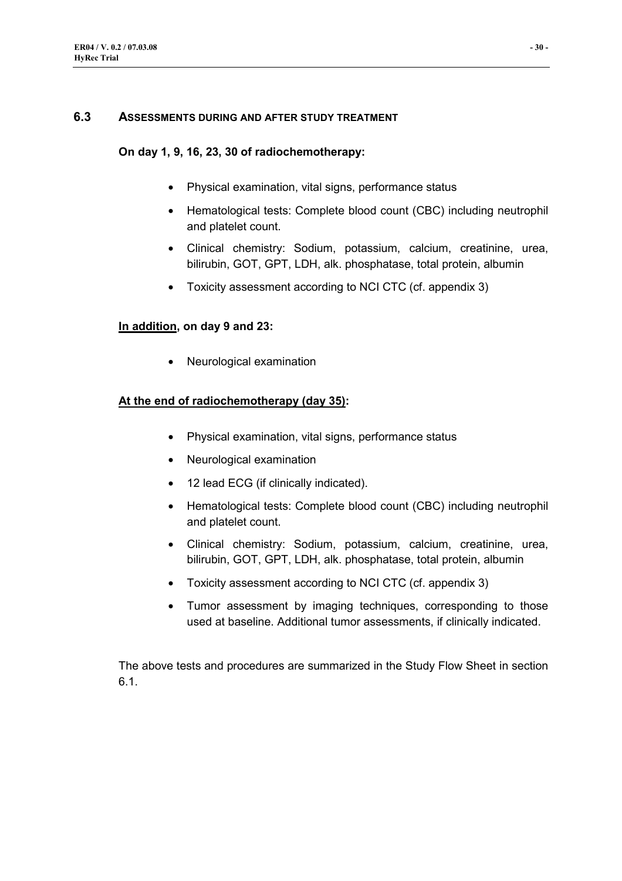## **6.3 ASSESSMENTS DURING AND AFTER STUDY TREATMENT**

## **On day 1, 9, 16, 23, 30 of radiochemotherapy:**

- Physical examination, vital signs, performance status
- Hematological tests: Complete blood count (CBC) including neutrophil and platelet count.
- Clinical chemistry: Sodium, potassium, calcium, creatinine, urea, bilirubin, GOT, GPT, LDH, alk. phosphatase, total protein, albumin
- Toxicity assessment according to NCI CTC (cf. appendix 3)

# **In addition, on day 9 and 23:**

• Neurological examination

# **At the end of radiochemotherapy (day 35):**

- Physical examination, vital signs, performance status
- Neurological examination
- 12 lead ECG (if clinically indicated).
- Hematological tests: Complete blood count (CBC) including neutrophil and platelet count.
- Clinical chemistry: Sodium, potassium, calcium, creatinine, urea, bilirubin, GOT, GPT, LDH, alk. phosphatase, total protein, albumin
- Toxicity assessment according to NCI CTC (cf. appendix 3)
- Tumor assessment by imaging techniques, corresponding to those used at baseline. Additional tumor assessments, if clinically indicated.

The above tests and procedures are summarized in the Study Flow Sheet in section 6.1.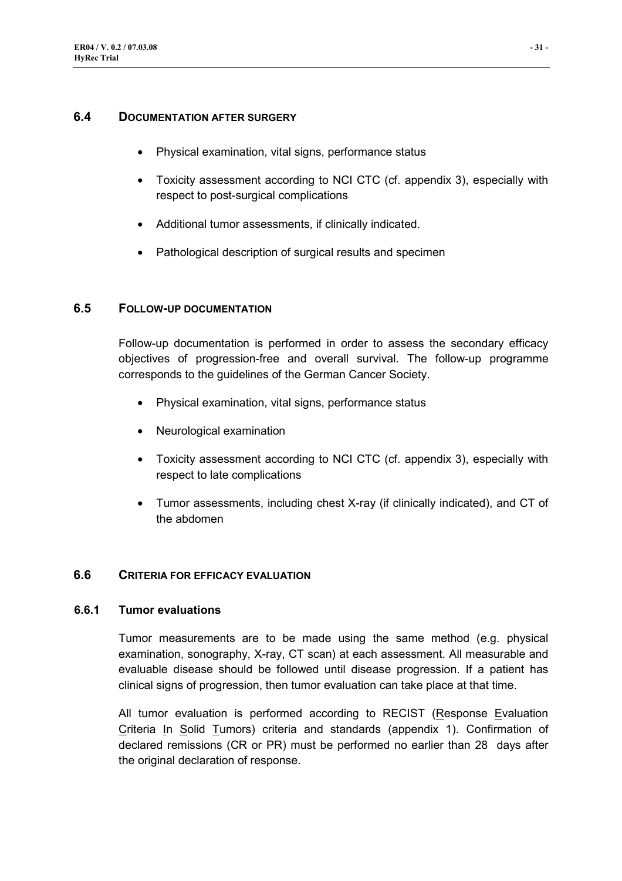## **6.4 DOCUMENTATION AFTER SURGERY**

- Physical examination, vital signs, performance status
- Toxicity assessment according to NCI CTC (cf. appendix 3), especially with respect to post-surgical complications
- Additional tumor assessments, if clinically indicated.
- Pathological description of surgical results and specimen

# **6.5 FOLLOW-UP DOCUMENTATION**

Follow-up documentation is performed in order to assess the secondary efficacy objectives of progression-free and overall survival. The follow-up programme corresponds to the guidelines of the German Cancer Society.

- Physical examination, vital signs, performance status
- Neurological examination
- Toxicity assessment according to NCI CTC (cf. appendix 3), especially with respect to late complications
- Tumor assessments, including chest X-ray (if clinically indicated), and CT of the abdomen

# **6.6 CRITERIA FOR EFFICACY EVALUATION**

# **6.6.1 Tumor evaluations**

Tumor measurements are to be made using the same method (e.g. physical examination, sonography, X-ray, CT scan) at each assessment. All measurable and evaluable disease should be followed until disease progression. If a patient has clinical signs of progression, then tumor evaluation can take place at that time.

All tumor evaluation is performed according to RECIST (Response Evaluation Criteria In Solid Tumors) criteria and standards (appendix 1). Confirmation of declared remissions (CR or PR) must be performed no earlier than 28 days after the original declaration of response.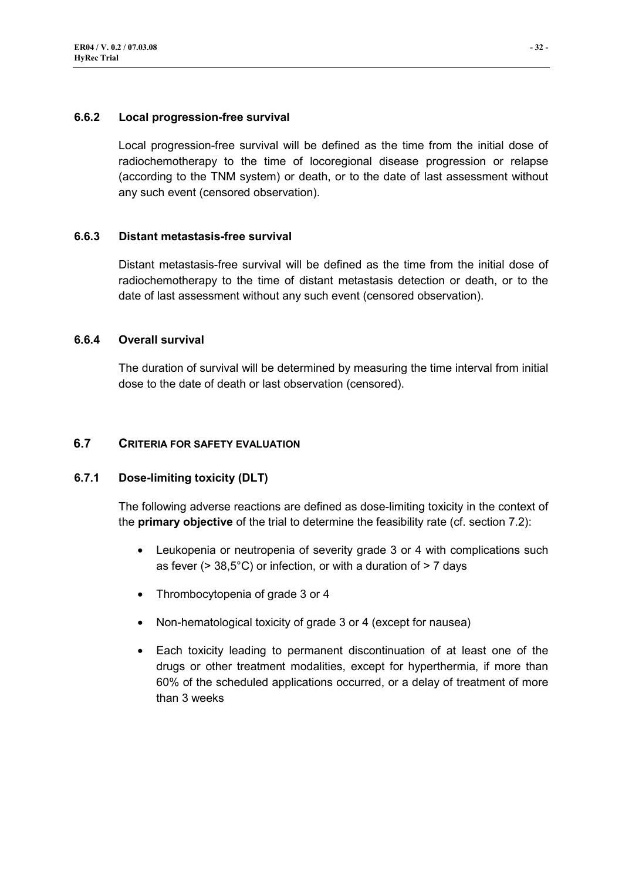## **6.6.2 Local progression-free survival**

Local progression-free survival will be defined as the time from the initial dose of radiochemotherapy to the time of locoregional disease progression or relapse (according to the TNM system) or death, or to the date of last assessment without any such event (censored observation).

#### **6.6.3 Distant metastasis-free survival**

Distant metastasis-free survival will be defined as the time from the initial dose of radiochemotherapy to the time of distant metastasis detection or death, or to the date of last assessment without any such event (censored observation).

## **6.6.4 Overall survival**

The duration of survival will be determined by measuring the time interval from initial dose to the date of death or last observation (censored).

# **6.7 CRITERIA FOR SAFETY EVALUATION**

#### **6.7.1 Dose-limiting toxicity (DLT)**

The following adverse reactions are defined as dose-limiting toxicity in the context of the **primary objective** of the trial to determine the feasibility rate (cf. section 7.2):

- Leukopenia or neutropenia of severity grade 3 or 4 with complications such as fever  $(> 38.5^{\circ}C)$  or infection, or with a duration of  $> 7$  days
- Thrombocytopenia of grade 3 or 4
- Non-hematological toxicity of grade 3 or 4 (except for nausea)
- Each toxicity leading to permanent discontinuation of at least one of the drugs or other treatment modalities, except for hyperthermia, if more than 60% of the scheduled applications occurred, or a delay of treatment of more than 3 weeks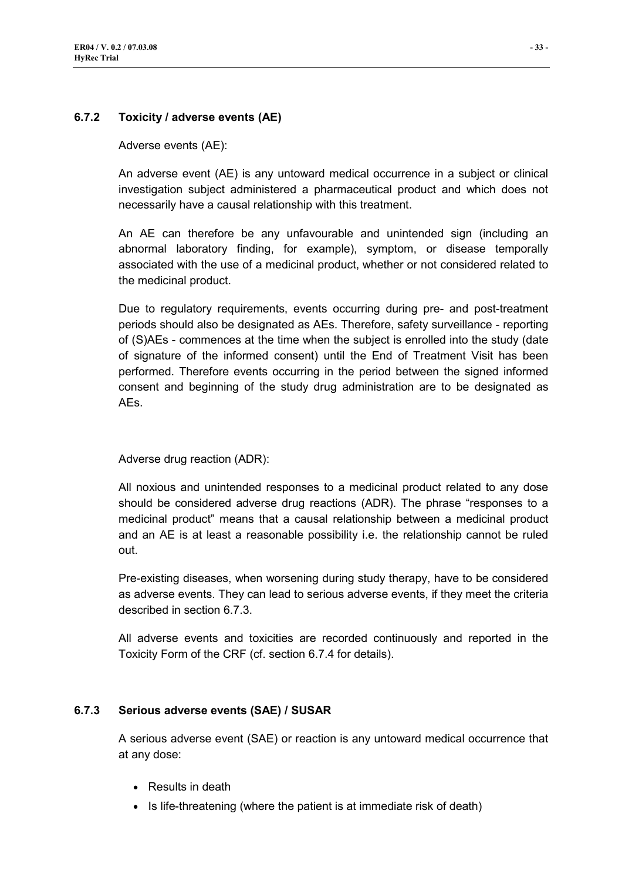## **6.7.2 Toxicity / adverse events (AE)**

Adverse events (AE):

An adverse event (AE) is any untoward medical occurrence in a subject or clinical investigation subject administered a pharmaceutical product and which does not necessarily have a causal relationship with this treatment.

An AE can therefore be any unfavourable and unintended sign (including an abnormal laboratory finding, for example), symptom, or disease temporally associated with the use of a medicinal product, whether or not considered related to the medicinal product.

Due to regulatory requirements, events occurring during pre- and post-treatment periods should also be designated as AEs. Therefore, safety surveillance - reporting of (S)AEs - commences at the time when the subject is enrolled into the study (date of signature of the informed consent) until the End of Treatment Visit has been performed. Therefore events occurring in the period between the signed informed consent and beginning of the study drug administration are to be designated as AEs.

Adverse drug reaction (ADR):

All noxious and unintended responses to a medicinal product related to any dose should be considered adverse drug reactions (ADR). The phrase "responses to a medicinal product" means that a causal relationship between a medicinal product and an AE is at least a reasonable possibility i.e. the relationship cannot be ruled out.

Pre-existing diseases, when worsening during study therapy, have to be considered as adverse events. They can lead to serious adverse events, if they meet the criteria described in section 6.7.3.

All adverse events and toxicities are recorded continuously and reported in the Toxicity Form of the CRF (cf. section 6.7.4 for details).

# **6.7.3 Serious adverse events (SAE) / SUSAR**

A serious adverse event (SAE) or reaction is any untoward medical occurrence that at any dose:

- Results in death
- Is life-threatening (where the patient is at immediate risk of death)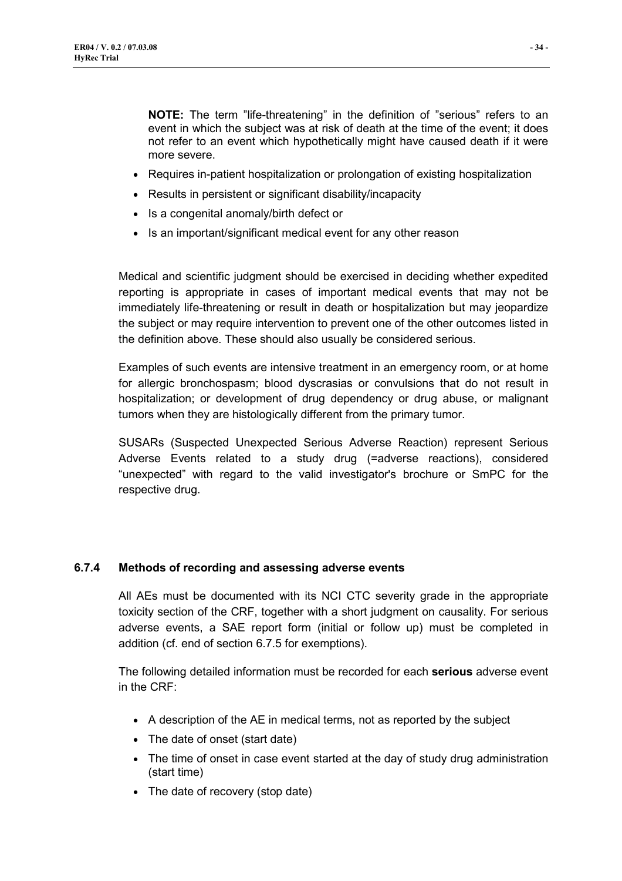**NOTE:** The term "life-threatening" in the definition of "serious" refers to an event in which the subject was at risk of death at the time of the event; it does not refer to an event which hypothetically might have caused death if it were more severe.

- Requires in-patient hospitalization or prolongation of existing hospitalization
- Results in persistent or significant disability/incapacity
- Is a congenital anomaly/birth defect or
- Is an important/significant medical event for any other reason

Medical and scientific judgment should be exercised in deciding whether expedited reporting is appropriate in cases of important medical events that may not be immediately life-threatening or result in death or hospitalization but may jeopardize the subject or may require intervention to prevent one of the other outcomes listed in the definition above. These should also usually be considered serious.

Examples of such events are intensive treatment in an emergency room, or at home for allergic bronchospasm; blood dyscrasias or convulsions that do not result in hospitalization; or development of drug dependency or drug abuse, or malignant tumors when they are histologically different from the primary tumor.

SUSARs (Suspected Unexpected Serious Adverse Reaction) represent Serious Adverse Events related to a study drug (=adverse reactions), considered "unexpected" with regard to the valid investigator's brochure or SmPC for the respective drug.

## **6.7.4 Methods of recording and assessing adverse events**

All AEs must be documented with its NCI CTC severity grade in the appropriate toxicity section of the CRF, together with a short judgment on causality. For serious adverse events, a SAE report form (initial or follow up) must be completed in addition (cf. end of section 6.7.5 for exemptions).

The following detailed information must be recorded for each **serious** adverse event in the CRF:

- A description of the AE in medical terms, not as reported by the subject
- The date of onset (start date)
- The time of onset in case event started at the day of study drug administration (start time)
- The date of recovery (stop date)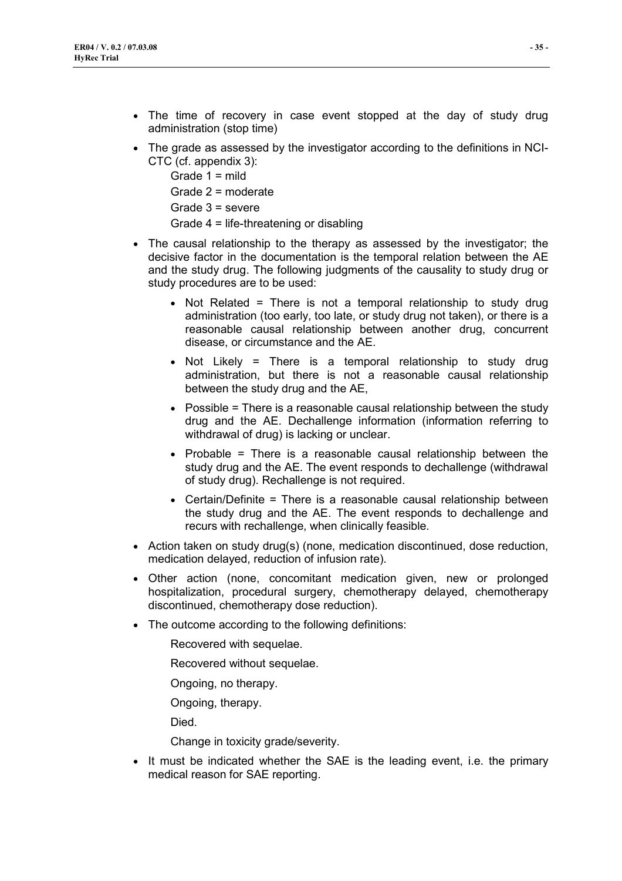- The time of recovery in case event stopped at the day of study drug administration (stop time)
- The grade as assessed by the investigator according to the definitions in NCI-CTC (cf. appendix 3):

Grade 1 = mild Grade 2 = moderate Grade 3 = severe

- Grade 4 = life-threatening or disabling
- The causal relationship to the therapy as assessed by the investigator; the decisive factor in the documentation is the temporal relation between the AE and the study drug. The following judgments of the causality to study drug or study procedures are to be used:
	- Not Related = There is not a temporal relationship to study drug administration (too early, too late, or study drug not taken), or there is a reasonable causal relationship between another drug, concurrent disease, or circumstance and the AE.
	- Not Likely = There is a temporal relationship to study drug administration, but there is not a reasonable causal relationship between the study drug and the AE,
	- Possible = There is a reasonable causal relationship between the study drug and the AE. Dechallenge information (information referring to withdrawal of drug) is lacking or unclear.
	- Probable = There is a reasonable causal relationship between the study drug and the AE. The event responds to dechallenge (withdrawal of study drug). Rechallenge is not required.
	- Certain/Definite = There is a reasonable causal relationship between the study drug and the AE. The event responds to dechallenge and recurs with rechallenge, when clinically feasible.
- Action taken on study drug(s) (none, medication discontinued, dose reduction, medication delayed, reduction of infusion rate).
- Other action (none, concomitant medication given, new or prolonged hospitalization, procedural surgery, chemotherapy delayed, chemotherapy discontinued, chemotherapy dose reduction).
- The outcome according to the following definitions:
	- Recovered with sequelae.
	- Recovered without sequelae.
	- Ongoing, no therapy.
	- Ongoing, therapy.
	- Died.
	- Change in toxicity grade/severity.
- It must be indicated whether the SAE is the leading event, i.e. the primary medical reason for SAE reporting.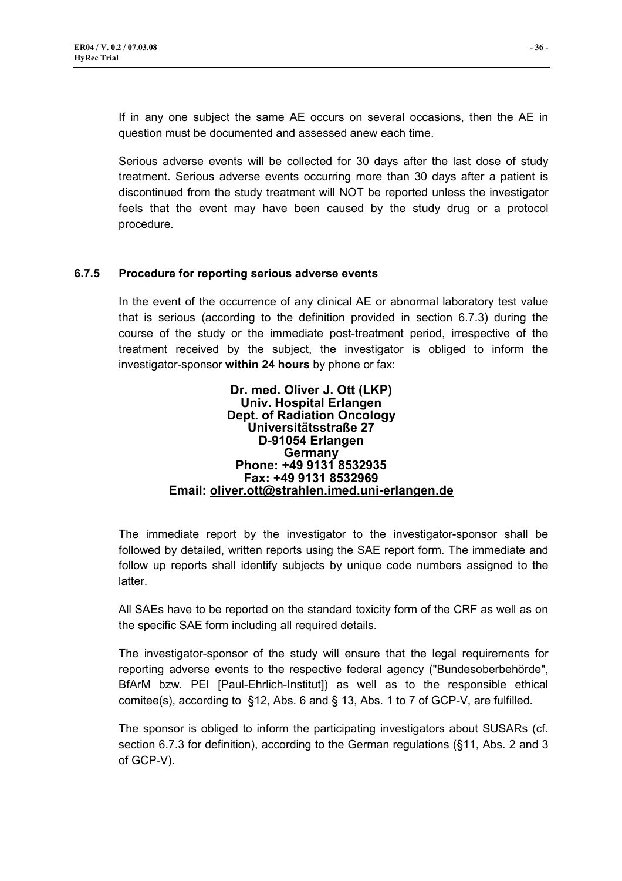If in any one subject the same AE occurs on several occasions, then the AE in question must be documented and assessed anew each time.

Serious adverse events will be collected for 30 days after the last dose of study treatment. Serious adverse events occurring more than 30 days after a patient is discontinued from the study treatment will NOT be reported unless the investigator feels that the event may have been caused by the study drug or a protocol procedure.

#### **6.7.5 Procedure for reporting serious adverse events**

In the event of the occurrence of any clinical AE or abnormal laboratory test value that is serious (according to the definition provided in section 6.7.3) during the course of the study or the immediate post-treatment period, irrespective of the treatment received by the subject, the investigator is obliged to inform the investigator-sponsor **within 24 hours** by phone or fax:

#### **Dr. med. Oliver J. Ott (LKP) Univ. Hospital Erlangen Dept. of Radiation Oncology Universitätsstraße 27 D-91054 Erlangen Germany Phone: +49 9131 8532935 Fax: +49 9131 8532969 Email: oliver.ott@strahlen.imed.uni-erlangen.de**

The immediate report by the investigator to the investigator-sponsor shall be followed by detailed, written reports using the SAE report form. The immediate and follow up reports shall identify subjects by unique code numbers assigned to the latter.

All SAEs have to be reported on the standard toxicity form of the CRF as well as on the specific SAE form including all required details.

The investigator-sponsor of the study will ensure that the legal requirements for reporting adverse events to the respective federal agency ("Bundesoberbehörde", BfArM bzw. PEI [Paul-Ehrlich-Institut]) as well as to the responsible ethical comitee(s), according to §12, Abs. 6 and § 13, Abs. 1 to 7 of GCP-V, are fulfilled.

The sponsor is obliged to inform the participating investigators about SUSARs (cf. section 6.7.3 for definition), according to the German regulations (§11, Abs. 2 and 3 of GCP-V).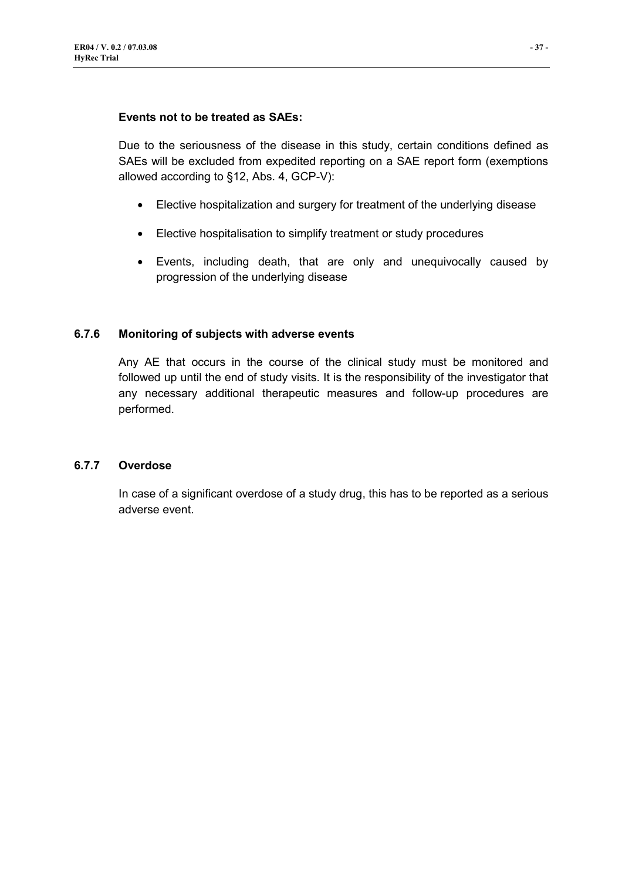#### **Events not to be treated as SAEs:**

Due to the seriousness of the disease in this study, certain conditions defined as SAEs will be excluded from expedited reporting on a SAE report form (exemptions allowed according to §12, Abs. 4, GCP-V):

- Elective hospitalization and surgery for treatment of the underlying disease
- Elective hospitalisation to simplify treatment or study procedures
- Events, including death, that are only and unequivocally caused by progression of the underlying disease

#### **6.7.6 Monitoring of subjects with adverse events**

Any AE that occurs in the course of the clinical study must be monitored and followed up until the end of study visits. It is the responsibility of the investigator that any necessary additional therapeutic measures and follow-up procedures are performed.

## **6.7.7 Overdose**

In case of a significant overdose of a study drug, this has to be reported as a serious adverse event.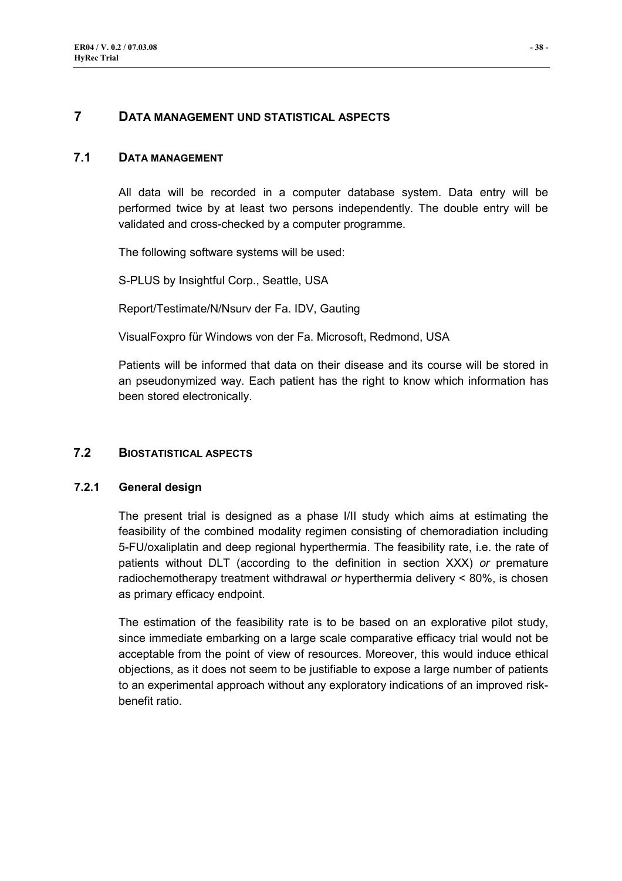# **7 DATA MANAGEMENT UND STATISTICAL ASPECTS**

# **7.1 DATA MANAGEMENT**

All data will be recorded in a computer database system. Data entry will be performed twice by at least two persons independently. The double entry will be validated and cross-checked by a computer programme.

The following software systems will be used:

S-PLUS by Insightful Corp., Seattle, USA

Report/Testimate/N/Nsurv der Fa. IDV, Gauting

VisualFoxpro für Windows von der Fa. Microsoft, Redmond, USA

Patients will be informed that data on their disease and its course will be stored in an pseudonymized way. Each patient has the right to know which information has been stored electronically.

# **7.2 BIOSTATISTICAL ASPECTS**

#### **7.2.1 General design**

The present trial is designed as a phase I/II study which aims at estimating the feasibility of the combined modality regimen consisting of chemoradiation including 5-FU/oxaliplatin and deep regional hyperthermia. The feasibility rate, i.e. the rate of patients without DLT (according to the definition in section XXX) *or* premature radiochemotherapy treatment withdrawal *or* hyperthermia delivery < 80%, is chosen as primary efficacy endpoint.

The estimation of the feasibility rate is to be based on an explorative pilot study, since immediate embarking on a large scale comparative efficacy trial would not be acceptable from the point of view of resources. Moreover, this would induce ethical objections, as it does not seem to be justifiable to expose a large number of patients to an experimental approach without any exploratory indications of an improved riskbenefit ratio.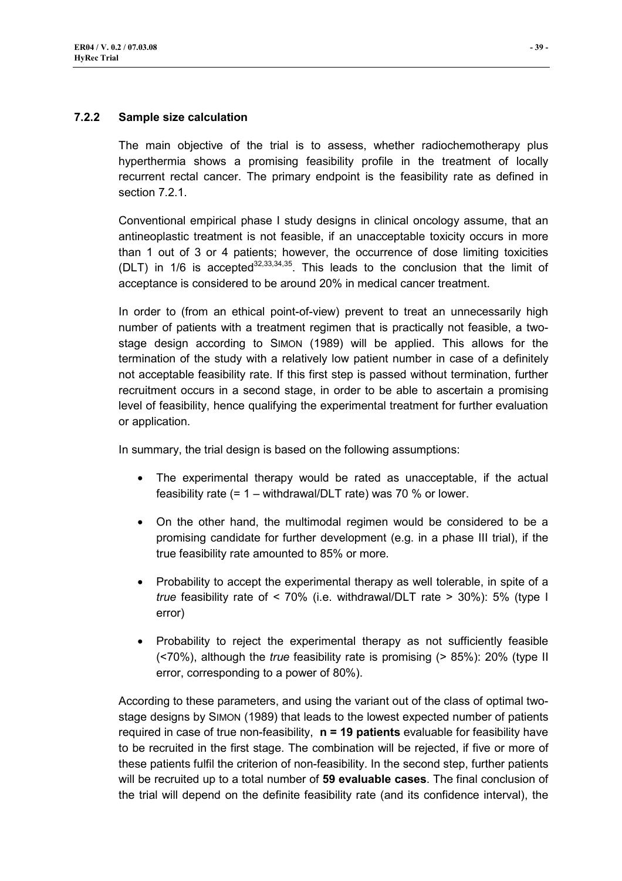The main objective of the trial is to assess, whether radiochemotherapy plus hyperthermia shows a promising feasibility profile in the treatment of locally recurrent rectal cancer. The primary endpoint is the feasibility rate as defined in section 7.2.1

Conventional empirical phase I study designs in clinical oncology assume, that an antineoplastic treatment is not feasible, if an unacceptable toxicity occurs in more than 1 out of 3 or 4 patients; however, the occurrence of dose limiting toxicities (DLT) in  $1/6$  is accepted<sup>32,33,34,35</sup>. This leads to the conclusion that the limit of acceptance is considered to be around 20% in medical cancer treatment.

In order to (from an ethical point-of-view) prevent to treat an unnecessarily high number of patients with a treatment regimen that is practically not feasible, a twostage design according to SIMON (1989) will be applied. This allows for the termination of the study with a relatively low patient number in case of a definitely not acceptable feasibility rate. If this first step is passed without termination, further recruitment occurs in a second stage, in order to be able to ascertain a promising level of feasibility, hence qualifying the experimental treatment for further evaluation or application.

In summary, the trial design is based on the following assumptions:

- The experimental therapy would be rated as unacceptable, if the actual feasibility rate (= 1 – withdrawal/DLT rate) was 70 % or lower.
- On the other hand, the multimodal regimen would be considered to be a promising candidate for further development (e.g. in a phase III trial), if the true feasibility rate amounted to 85% or more.
- Probability to accept the experimental therapy as well tolerable, in spite of a *true* feasibility rate of < 70% (i.e. withdrawal/DLT rate > 30%): 5% (type I error)
- Probability to reject the experimental therapy as not sufficiently feasible (<70%), although the *true* feasibility rate is promising (> 85%): 20% (type II error, corresponding to a power of 80%).

According to these parameters, and using the variant out of the class of optimal twostage designs by SIMON (1989) that leads to the lowest expected number of patients required in case of true non-feasibility, **n = 19 patients** evaluable for feasibility have to be recruited in the first stage. The combination will be rejected, if five or more of these patients fulfil the criterion of non-feasibility. In the second step, further patients will be recruited up to a total number of **59 evaluable cases**. The final conclusion of the trial will depend on the definite feasibility rate (and its confidence interval), the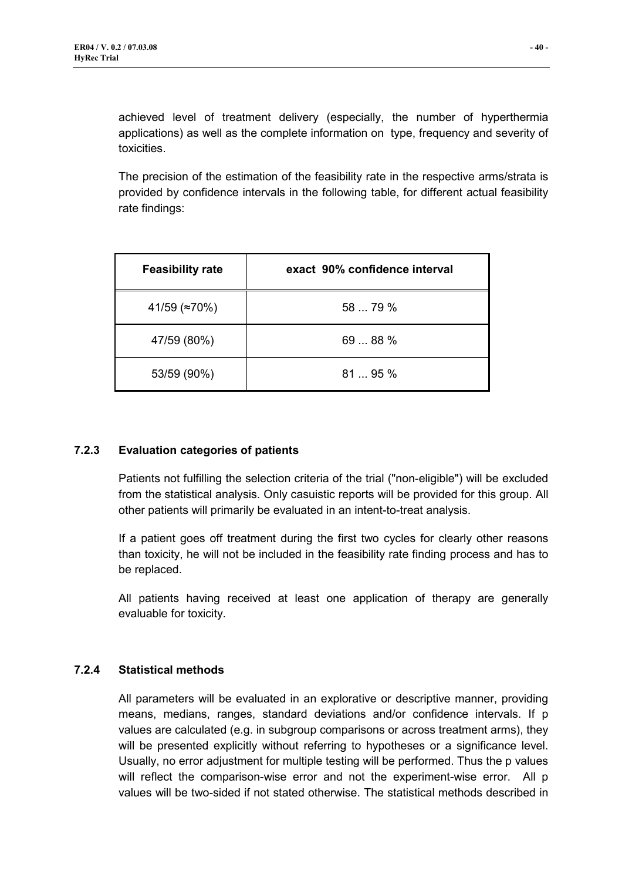achieved level of treatment delivery (especially, the number of hyperthermia applications) as well as the complete information on type, frequency and severity of toxicities.

The precision of the estimation of the feasibility rate in the respective arms/strata is provided by confidence intervals in the following table, for different actual feasibility rate findings:

| <b>Feasibility rate</b> | exact 90% confidence interval |  |  |
|-------------------------|-------------------------------|--|--|
| 41/59 (≈70%)            | 58  79 %                      |  |  |
| 47/59 (80%)             | 6988%                         |  |  |
| 53/59 (90%)             | 8195%                         |  |  |

# **7.2.3 Evaluation categories of patients**

Patients not fulfilling the selection criteria of the trial ("non-eligible") will be excluded from the statistical analysis. Only casuistic reports will be provided for this group. All other patients will primarily be evaluated in an intent-to-treat analysis.

If a patient goes off treatment during the first two cycles for clearly other reasons than toxicity, he will not be included in the feasibility rate finding process and has to be replaced.

All patients having received at least one application of therapy are generally evaluable for toxicity.

#### **7.2.4 Statistical methods**

All parameters will be evaluated in an explorative or descriptive manner, providing means, medians, ranges, standard deviations and/or confidence intervals. If p values are calculated (e.g. in subgroup comparisons or across treatment arms), they will be presented explicitly without referring to hypotheses or a significance level. Usually, no error adjustment for multiple testing will be performed. Thus the p values will reflect the comparison-wise error and not the experiment-wise error. All p values will be two-sided if not stated otherwise. The statistical methods described in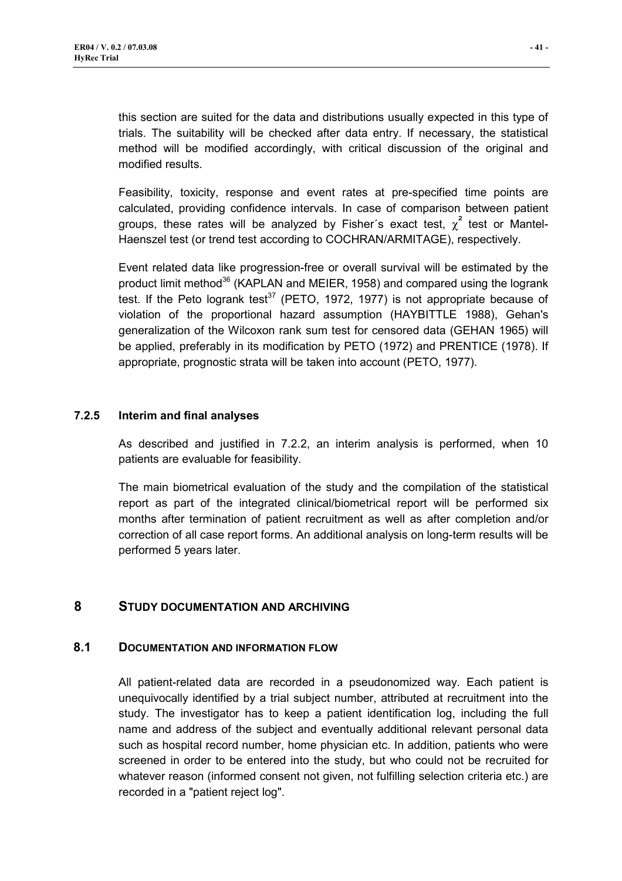this section are suited for the data and distributions usually expected in this type of trials. The suitability will be checked after data entry. If necessary, the statistical method will be modified accordingly, with critical discussion of the original and modified results.

Feasibility, toxicity, response and event rates at pre-specified time points are calculated, providing confidence intervals. In case of comparison between patient groups, these rates will be analyzed by Fisher's exact test,  $\gamma^2$  test or Mantel-Haenszel test (or trend test according to COCHRAN/ARMITAGE), respectively.

Event related data like progression-free or overall survival will be estimated by the product limit method<sup>36</sup> (KAPLAN and MEIER, 1958) and compared using the logrank test. If the Peto logrank test<sup>37</sup> (PETO, 1972, 1977) is not appropriate because of violation of the proportional hazard assumption (HAYBITTLE 1988), Gehan's generalization of the Wilcoxon rank sum test for censored data (GEHAN 1965) will be applied, preferably in its modification by PETO (1972) and PRENTICE (1978). If appropriate, prognostic strata will be taken into account (PETO, 1977).

#### **7.2.5 Interim and final analyses**

As described and justified in 7.2.2, an interim analysis is performed, when 10 patients are evaluable for feasibility.

The main biometrical evaluation of the study and the compilation of the statistical report as part of the integrated clinical/biometrical report will be performed six months after termination of patient recruitment as well as after completion and/or correction of all case report forms. An additional analysis on long-term results will be performed 5 years later.

## **8 STUDY DOCUMENTATION AND ARCHIVING**

#### **8.1 DOCUMENTATION AND INFORMATION FLOW**

All patient-related data are recorded in a pseudonomized way. Each patient is unequivocally identified by a trial subject number, attributed at recruitment into the study. The investigator has to keep a patient identification log, including the full name and address of the subject and eventually additional relevant personal data such as hospital record number, home physician etc. In addition, patients who were screened in order to be entered into the study, but who could not be recruited for whatever reason (informed consent not given, not fulfilling selection criteria etc.) are recorded in a "patient reject log".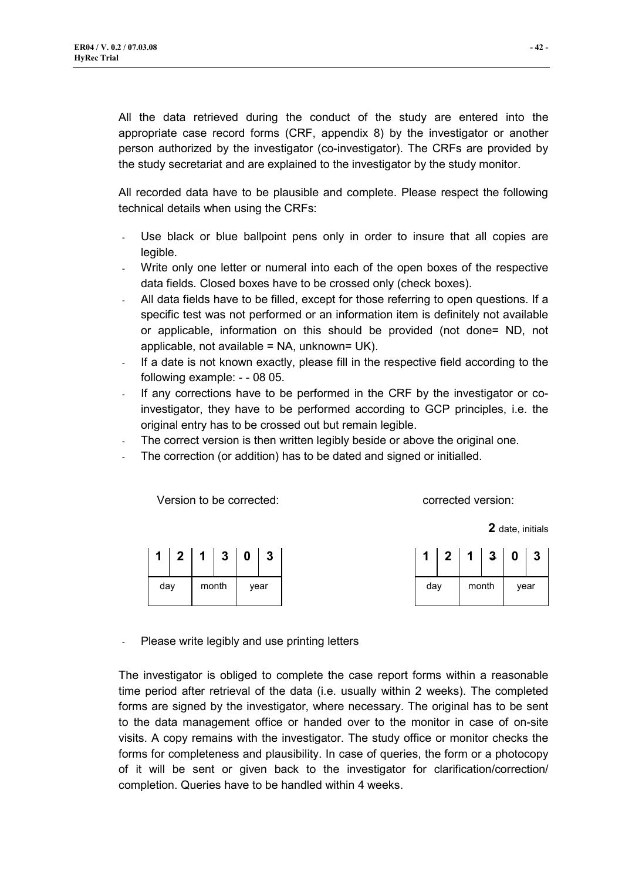All the data retrieved during the conduct of the study are entered into the appropriate case record forms (CRF, appendix 8) by the investigator or another person authorized by the investigator (co-investigator). The CRFs are provided by the study secretariat and are explained to the investigator by the study monitor.

All recorded data have to be plausible and complete. Please respect the following technical details when using the CRFs:

- Use black or blue ballpoint pens only in order to insure that all copies are legible.
- Write only one letter or numeral into each of the open boxes of the respective data fields. Closed boxes have to be crossed only (check boxes).
- All data fields have to be filled, except for those referring to open questions. If a specific test was not performed or an information item is definitely not available or applicable, information on this should be provided (not done= ND, not applicable, not available =  $NA$ , unknown=  $UK$ ).
- If a date is not known exactly, please fill in the respective field according to the following example: - - 08 05.
- If any corrections have to be performed in the CRF by the investigator or coinvestigator, they have to be performed according to GCP principles, i.e. the original entry has to be crossed out but remain legible.

Version to be corrected: version: corrected version:

- The correct version is then written legibly beside or above the original one.
- The correction (or addition) has to be dated and signed or initialled.

|     |  |       | 1 2 1 3 0 3 |
|-----|--|-------|-------------|
| day |  | month | year        |

|                       | 2 date, initials |
|-----------------------|------------------|
| 1   2   1   2   0   2 | 12 2 13 2 2      |

|     |       | 3 | U    | 3 |
|-----|-------|---|------|---|
| day | month |   | year |   |

Please write legibly and use printing letters

The investigator is obliged to complete the case report forms within a reasonable time period after retrieval of the data (i.e. usually within 2 weeks). The completed forms are signed by the investigator, where necessary. The original has to be sent to the data management office or handed over to the monitor in case of on-site visits. A copy remains with the investigator. The study office or monitor checks the forms for completeness and plausibility. In case of queries, the form or a photocopy of it will be sent or given back to the investigator for clarification/correction/ completion. Queries have to be handled within 4 weeks.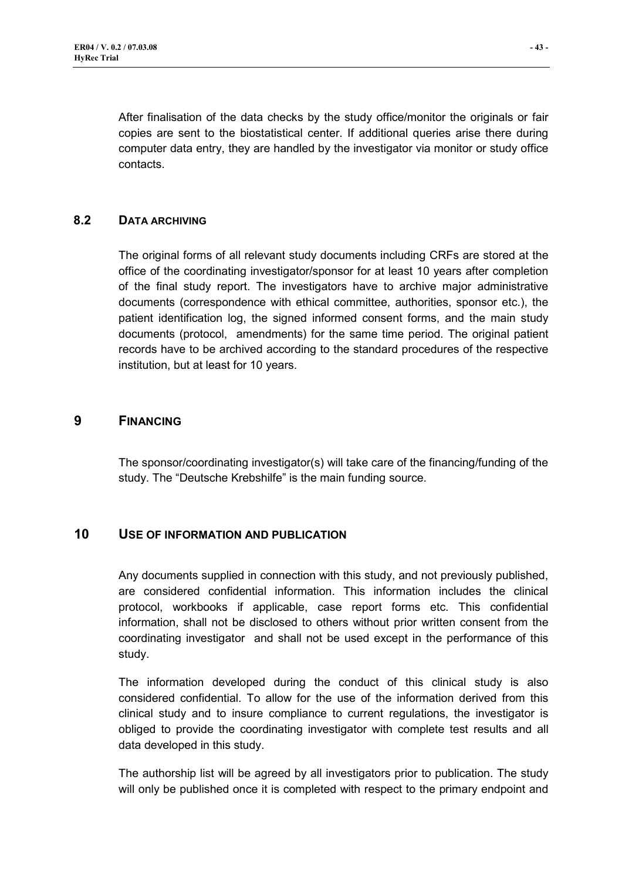# **8.2 DATA ARCHIVING**

The original forms of all relevant study documents including CRFs are stored at the office of the coordinating investigator/sponsor for at least 10 years after completion of the final study report. The investigators have to archive major administrative documents (correspondence with ethical committee, authorities, sponsor etc.), the patient identification log, the signed informed consent forms, and the main study documents (protocol, amendments) for the same time period. The original patient records have to be archived according to the standard procedures of the respective institution, but at least for 10 years.

# **9 FINANCING**

The sponsor/coordinating investigator(s) will take care of the financing/funding of the study. The "Deutsche Krebshilfe" is the main funding source.

# **10 USE OF INFORMATION AND PUBLICATION**

Any documents supplied in connection with this study, and not previously published, are considered confidential information. This information includes the clinical protocol, workbooks if applicable, case report forms etc. This confidential information, shall not be disclosed to others without prior written consent from the coordinating investigator and shall not be used except in the performance of this study.

The information developed during the conduct of this clinical study is also considered confidential. To allow for the use of the information derived from this clinical study and to insure compliance to current regulations, the investigator is obliged to provide the coordinating investigator with complete test results and all data developed in this study.

The authorship list will be agreed by all investigators prior to publication. The study will only be published once it is completed with respect to the primary endpoint and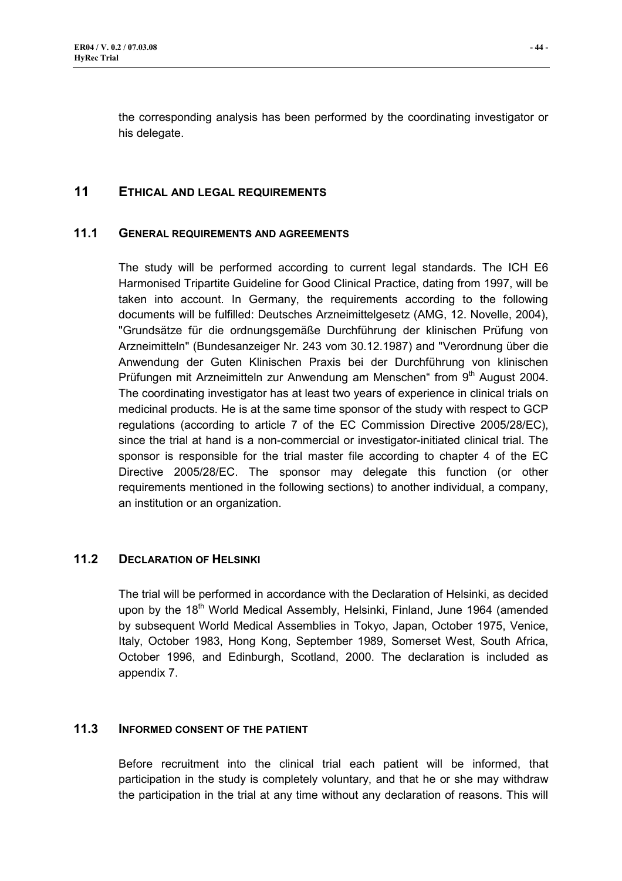the corresponding analysis has been performed by the coordinating investigator or his delegate.

# **11 ETHICAL AND LEGAL REQUIREMENTS**

#### **11.1 GENERAL REQUIREMENTS AND AGREEMENTS**

The study will be performed according to current legal standards. The ICH E6 Harmonised Tripartite Guideline for Good Clinical Practice, dating from 1997, will be taken into account. In Germany, the requirements according to the following documents will be fulfilled: Deutsches Arzneimittelgesetz (AMG, 12. Novelle, 2004), "Grundsätze für die ordnungsgemäße Durchführung der klinischen Prüfung von Arzneimitteln" (Bundesanzeiger Nr. 243 vom 30.12.1987) and "Verordnung über die Anwendung der Guten Klinischen Praxis bei der Durchführung von klinischen Prüfungen mit Arzneimitteln zur Anwendung am Menschen" from 9<sup>th</sup> August 2004. The coordinating investigator has at least two years of experience in clinical trials on medicinal products. He is at the same time sponsor of the study with respect to GCP regulations (according to article 7 of the EC Commission Directive 2005/28/EC), since the trial at hand is a non-commercial or investigator-initiated clinical trial. The sponsor is responsible for the trial master file according to chapter 4 of the EC Directive 2005/28/EC. The sponsor may delegate this function (or other requirements mentioned in the following sections) to another individual, a company, an institution or an organization.

# **11.2 DECLARATION OF HELSINKI**

The trial will be performed in accordance with the Declaration of Helsinki, as decided upon by the 18<sup>th</sup> World Medical Assembly, Helsinki, Finland, June 1964 (amended by subsequent World Medical Assemblies in Tokyo, Japan, October 1975, Venice, Italy, October 1983, Hong Kong, September 1989, Somerset West, South Africa, October 1996, and Edinburgh, Scotland, 2000. The declaration is included as appendix 7.

## **11.3 INFORMED CONSENT OF THE PATIENT**

Before recruitment into the clinical trial each patient will be informed, that participation in the study is completely voluntary, and that he or she may withdraw the participation in the trial at any time without any declaration of reasons. This will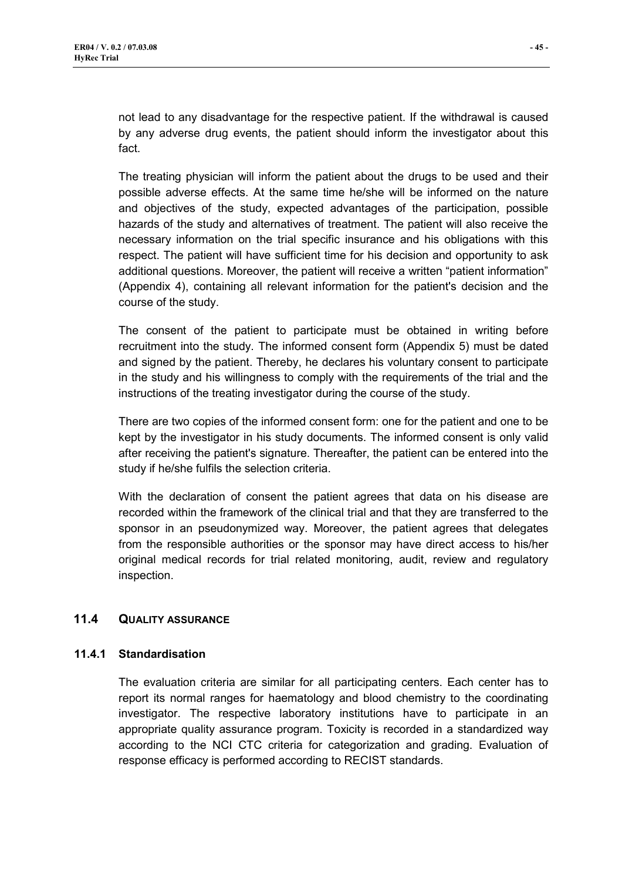not lead to any disadvantage for the respective patient. If the withdrawal is caused by any adverse drug events, the patient should inform the investigator about this fact.

The treating physician will inform the patient about the drugs to be used and their possible adverse effects. At the same time he/she will be informed on the nature and objectives of the study, expected advantages of the participation, possible hazards of the study and alternatives of treatment. The patient will also receive the necessary information on the trial specific insurance and his obligations with this respect. The patient will have sufficient time for his decision and opportunity to ask additional questions. Moreover, the patient will receive a written "patient information" (Appendix 4), containing all relevant information for the patient's decision and the course of the study.

The consent of the patient to participate must be obtained in writing before recruitment into the study. The informed consent form (Appendix 5) must be dated and signed by the patient. Thereby, he declares his voluntary consent to participate in the study and his willingness to comply with the requirements of the trial and the instructions of the treating investigator during the course of the study.

There are two copies of the informed consent form: one for the patient and one to be kept by the investigator in his study documents. The informed consent is only valid after receiving the patient's signature. Thereafter, the patient can be entered into the study if he/she fulfils the selection criteria.

With the declaration of consent the patient agrees that data on his disease are recorded within the framework of the clinical trial and that they are transferred to the sponsor in an pseudonymized way. Moreover, the patient agrees that delegates from the responsible authorities or the sponsor may have direct access to his/her original medical records for trial related monitoring, audit, review and regulatory inspection.

# **11.4 QUALITY ASSURANCE**

#### **11.4.1 Standardisation**

The evaluation criteria are similar for all participating centers. Each center has to report its normal ranges for haematology and blood chemistry to the coordinating investigator. The respective laboratory institutions have to participate in an appropriate quality assurance program. Toxicity is recorded in a standardized way according to the NCI CTC criteria for categorization and grading. Evaluation of response efficacy is performed according to RECIST standards.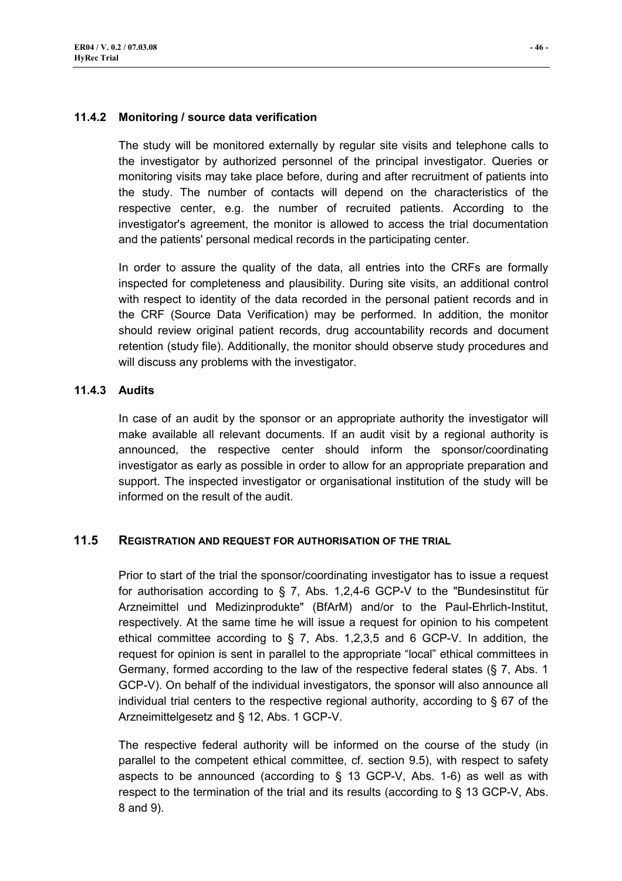#### **11.4.2 Monitoring / source data verification**

The study will be monitored externally by regular site visits and telephone calls to the investigator by authorized personnel of the principal investigator. Queries or monitoring visits may take place before, during and after recruitment of patients into the study. The number of contacts will depend on the characteristics of the respective center, e.g. the number of recruited patients. According to the investigator's agreement, the monitor is allowed to access the trial documentation and the patients' personal medical records in the participating center.

In order to assure the quality of the data, all entries into the CRFs are formally inspected for completeness and plausibility. During site visits, an additional control with respect to identity of the data recorded in the personal patient records and in the CRF (Source Data Verification) may be performed. In addition, the monitor should review original patient records, drug accountability records and document retention (study file). Additionally, the monitor should observe study procedures and will discuss any problems with the investigator.

#### **11.4.3 Audits**

In case of an audit by the sponsor or an appropriate authority the investigator will make available all relevant documents. If an audit visit by a regional authority is announced, the respective center should inform the sponsor/coordinating investigator as early as possible in order to allow for an appropriate preparation and support. The inspected investigator or organisational institution of the study will be informed on the result of the audit.

#### **11.5 REGISTRATION AND REQUEST FOR AUTHORISATION OF THE TRIAL**

Prior to start of the trial the sponsor/coordinating investigator has to issue a request for authorisation according to  $\S$  7, Abs. 1,2,4-6 GCP-V to the "Bundesinstitut für Arzneimittel und Medizinprodukte" (BfArM) and/or to the Paul-Ehrlich-Institut, respectively. At the same time he will issue a request for opinion to his competent ethical committee according to § 7, Abs. 1,2,3,5 and 6 GCP-V. In addition, the request for opinion is sent in parallel to the appropriate "local" ethical committees in Germany, formed according to the law of the respective federal states (§ 7, Abs. 1 GCP-V). On behalf of the individual investigators, the sponsor will also announce all individual trial centers to the respective regional authority, according to § 67 of the Arzneimittelgesetz and § 12, Abs. 1 GCP-V.

The respective federal authority will be informed on the course of the study (in parallel to the competent ethical committee, cf. section 9.5), with respect to safety aspects to be announced (according to § 13 GCP-V, Abs. 1-6) as well as with respect to the termination of the trial and its results (according to § 13 GCP-V, Abs. 8 and 9).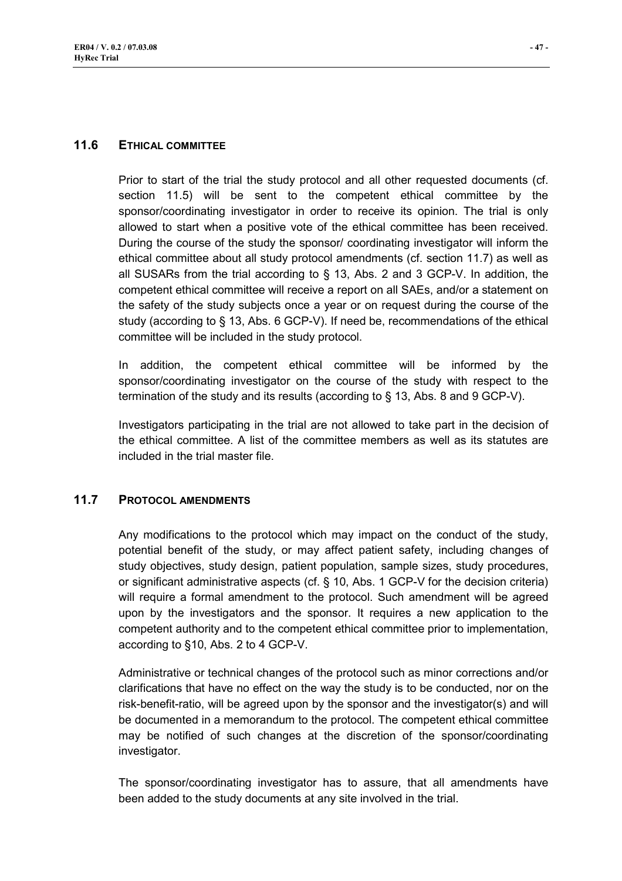## **11.6 ETHICAL COMMITTEE**

Prior to start of the trial the study protocol and all other requested documents (cf. section 11.5) will be sent to the competent ethical committee by the sponsor/coordinating investigator in order to receive its opinion. The trial is only allowed to start when a positive vote of the ethical committee has been received. During the course of the study the sponsor/ coordinating investigator will inform the ethical committee about all study protocol amendments (cf. section 11.7) as well as all SUSARs from the trial according to § 13, Abs. 2 and 3 GCP-V. In addition, the competent ethical committee will receive a report on all SAEs, and/or a statement on the safety of the study subjects once a year or on request during the course of the study (according to § 13, Abs. 6 GCP-V). If need be, recommendations of the ethical committee will be included in the study protocol.

In addition, the competent ethical committee will be informed by the sponsor/coordinating investigator on the course of the study with respect to the termination of the study and its results (according to § 13, Abs. 8 and 9 GCP-V).

Investigators participating in the trial are not allowed to take part in the decision of the ethical committee. A list of the committee members as well as its statutes are included in the trial master file.

#### **11.7 PROTOCOL AMENDMENTS**

Any modifications to the protocol which may impact on the conduct of the study, potential benefit of the study, or may affect patient safety, including changes of study objectives, study design, patient population, sample sizes, study procedures, or significant administrative aspects (cf. § 10, Abs. 1 GCP-V for the decision criteria) will require a formal amendment to the protocol. Such amendment will be agreed upon by the investigators and the sponsor. It requires a new application to the competent authority and to the competent ethical committee prior to implementation, according to §10, Abs. 2 to 4 GCP-V.

Administrative or technical changes of the protocol such as minor corrections and/or clarifications that have no effect on the way the study is to be conducted, nor on the risk-benefit-ratio, will be agreed upon by the sponsor and the investigator(s) and will be documented in a memorandum to the protocol. The competent ethical committee may be notified of such changes at the discretion of the sponsor/coordinating investigator.

The sponsor/coordinating investigator has to assure, that all amendments have been added to the study documents at any site involved in the trial.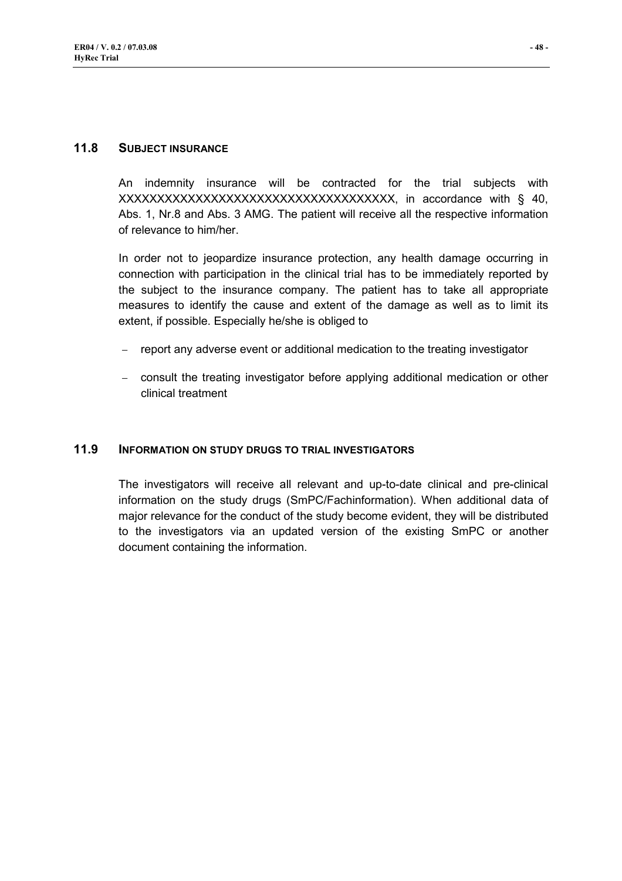An indemnity insurance will be contracted for the trial subjects with XXXXXXXXXXXXXXXXXXXXXXXXXXXXXXXXXXXXX, in accordance with § 40, Abs. 1, Nr.8 and Abs. 3 AMG. The patient will receive all the respective information of relevance to him/her.

In order not to jeopardize insurance protection, any health damage occurring in connection with participation in the clinical trial has to be immediately reported by the subject to the insurance company. The patient has to take all appropriate measures to identify the cause and extent of the damage as well as to limit its extent, if possible. Especially he/she is obliged to

- report any adverse event or additional medication to the treating investigator
- − consult the treating investigator before applying additional medication or other clinical treatment

#### **11.9 INFORMATION ON STUDY DRUGS TO TRIAL INVESTIGATORS**

The investigators will receive all relevant and up-to-date clinical and pre-clinical information on the study drugs (SmPC/Fachinformation). When additional data of major relevance for the conduct of the study become evident, they will be distributed to the investigators via an updated version of the existing SmPC or another document containing the information.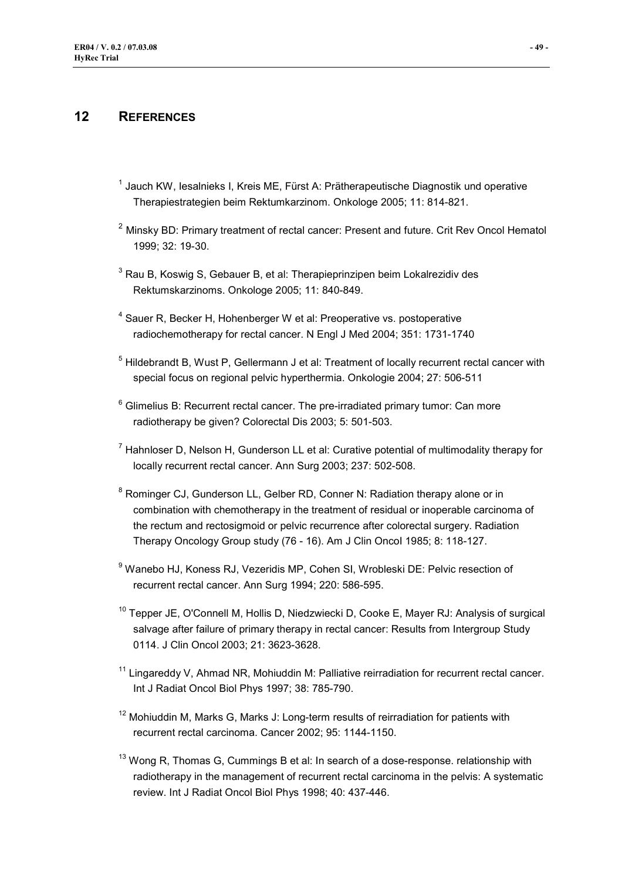# **12 REFERENCES**

- $<sup>1</sup>$  Jauch KW, lesalnieks I, Kreis ME, Fürst A: Prätherapeutische Diagnostik und operative</sup> Therapiestrategien beim Rektumkarzinom. Onkologe 2005; 11: 814-821.
- <sup>2</sup> Minsky BD: Primary treatment of rectal cancer: Present and future. Crit Rey Oncol Hematol 1999; 32: 19-30.
- $3$  Rau B, Koswig S, Gebauer B, et al: Therapieprinzipen beim Lokalrezidiv des Rektumskarzinoms. Onkologe 2005; 11: 840-849.
- <sup>4</sup> Sauer R, Becker H, Hohenberger W et al: Preoperative vs. postoperative radiochemotherapy for rectal cancer. N Engl J Med 2004; 351: 1731-1740
- <sup>5</sup> Hildebrandt B, Wust P, Gellermann J et al: Treatment of locally recurrent rectal cancer with special focus on regional pelvic hyperthermia. Onkologie 2004; 27: 506-511
- $6$  Glimelius B: Recurrent rectal cancer. The pre-irradiated primary tumor: Can more radiotherapy be given? Colorectal Dis 2003; 5: 501-503.
- $<sup>7</sup>$  Hahnloser D, Nelson H, Gunderson LL et al: Curative potential of multimodality therapy for</sup> locally recurrent rectal cancer. Ann Surg 2003; 237: 502-508.
- <sup>8</sup> Rominger CJ, Gunderson LL, Gelber RD, Conner N: Radiation therapy alone or in combination with chemotherapy in the treatment of residual or inoperable carcinoma of the rectum and rectosigmoid or pelvic recurrence after colorectal surgery. Radiation Therapy Oncology Group study (76 - 16). Am J Clin OncoI 1985; 8: 118-127.
- <sup>9</sup> Wanebo HJ, Koness RJ, Vezeridis MP, Cohen SI, Wrobleski DE: Pelvic resection of recurrent rectal cancer. Ann Surg 1994; 220: 586-595.
- <sup>10</sup> Tepper JE, O'Connell M, Hollis D, Niedzwiecki D, Cooke E, Mayer RJ: Analysis of surgical salvage after failure of primary therapy in rectal cancer: Results from Intergroup Study 0114. J Clin Oncol 2003; 21: 3623-3628.
- $11$  Lingareddy V, Ahmad NR, Mohiuddin M: Palliative reirradiation for recurrent rectal cancer. Int J Radiat Oncol Biol Phys 1997; 38: 785-790.
- $12$  Mohiuddin M, Marks G, Marks J: Long-term results of reirradiation for patients with recurrent rectal carcinoma. Cancer 2002; 95: 1144-1150.
- $13$  Wong R, Thomas G, Cummings B et al: In search of a dose-response. relationship with radiotherapy in the management of recurrent rectal carcinoma in the pelvis: A systematic review. Int J Radiat Oncol Biol Phys 1998; 40: 437-446.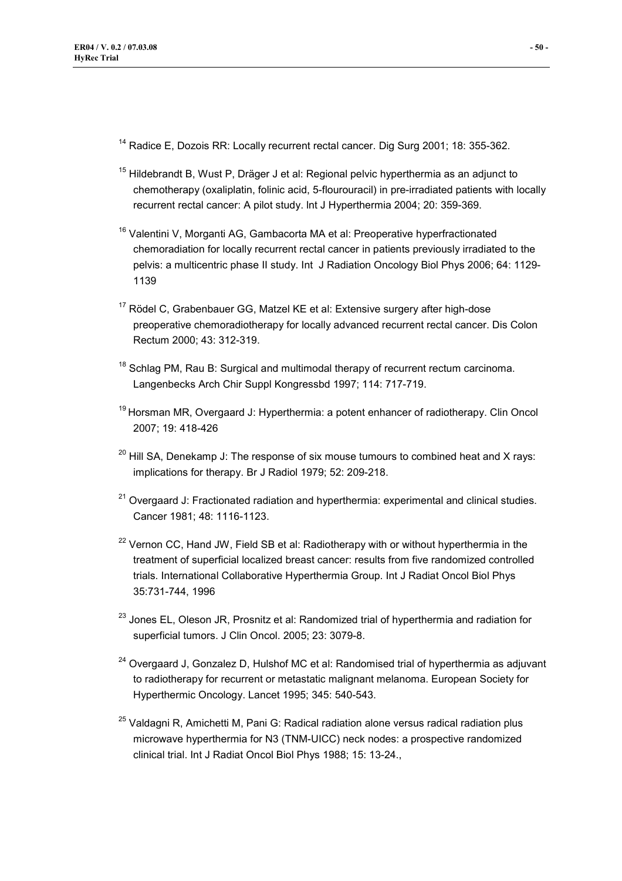- <sup>14</sup> Radice E, Dozois RR; Locally recurrent rectal cancer. Dig Surg 2001; 18: 355-362.
- $15$  Hildebrandt B, Wust P, Dräger J et al: Regional pelvic hyperthermia as an adjunct to chemotherapy (oxaliplatin, folinic acid, 5-flourouracil) in pre-irradiated patients with locally recurrent rectal cancer: A pilot study. lnt J Hyperthermia 2004; 20: 359-369.
- $16$  Valentini V, Morganti AG, Gambacorta MA et al: Preoperative hyperfractionated chemoradiation for locally recurrent rectal cancer in patients previously irradiated to the pelvis: a multicentric phase II study. Int J Radiation Oncology Biol Phys 2006; 64: 1129- 1139
- <sup>17</sup> Rödel C, Grabenbauer GG, Matzel KE et al: Extensive surgery after high-dose preoperative chemoradiotherapy for locally advanced recurrent rectal cancer. Dis Colon Rectum 2000; 43: 312-319.
- <sup>18</sup> Schlag PM, Rau B: Surgical and multimodal therapy of recurrent rectum carcinoma. Langenbecks Arch Chir Suppl Kongressbd 1997; 114: 717-719.
- $19$  Horsman MR, Overgaard J: Hyperthermia: a potent enhancer of radiotherapy. Clin Oncol 2007; 19: 418-426
- $20$  Hill SA, Denekamp J: The response of six mouse tumours to combined heat and X rays: implications for therapy. Br J Radiol 1979; 52: 209-218.
- $21$  Overgaard J: Fractionated radiation and hyperthermia: experimental and clinical studies. Cancer 1981; 48: 1116-1123.
- $22$  Vernon CC, Hand JW, Field SB et al: Radiotherapy with or without hyperthermia in the treatment of superficial localized breast cancer: results from five randomized controlled trials. International Collaborative Hyperthermia Group. Int J Radiat Oncol Biol Phys 35:731-744, 1996
- <sup>23</sup> Jones EL, Oleson JR, Prosnitz et al: Randomized trial of hyperthermia and radiation for superficial tumors. J Clin Oncol. 2005; 23: 3079-8.
- $24$  Overgaard J, Gonzalez D, Hulshof MC et al: Randomised trial of hyperthermia as adjuvant to radiotherapy for recurrent or metastatic malignant melanoma. European Society for Hyperthermic Oncology. Lancet 1995; 345: 540-543.
- $25$  Valdagni R, Amichetti M, Pani G: Radical radiation alone versus radical radiation plus microwave hyperthermia for N3 (TNM-UICC) neck nodes: a prospective randomized clinical trial. Int J Radiat Oncol Biol Phys 1988; 15: 13-24.,